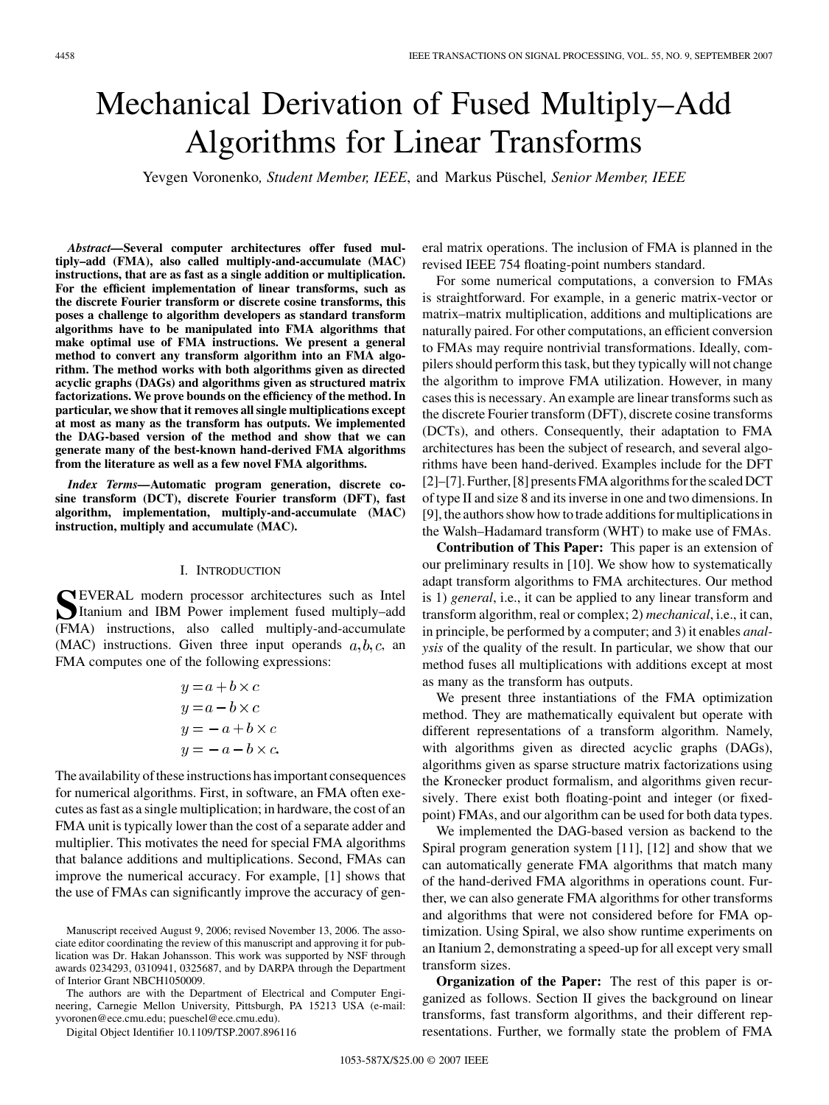# Mechanical Derivation of Fused Multiply–Add Algorithms for Linear Transforms

Yevgen Voronenko*, Student Member, IEEE*, and Markus Püschel*, Senior Member, IEEE*

*Abstract—***Several computer architectures offer fused multiply–add (FMA), also called multiply-and-accumulate (MAC) instructions, that are as fast as a single addition or multiplication. For the efficient implementation of linear transforms, such as the discrete Fourier transform or discrete cosine transforms, this poses a challenge to algorithm developers as standard transform algorithms have to be manipulated into FMA algorithms that make optimal use of FMA instructions. We present a general method to convert any transform algorithm into an FMA algorithm. The method works with both algorithms given as directed acyclic graphs (DAGs) and algorithms given as structured matrix factorizations. We prove bounds on the efficiency of the method. In particular, we show that it removes all single multiplications except at most as many as the transform has outputs. We implemented the DAG-based version of the method and show that we can generate many of the best-known hand-derived FMA algorithms from the literature as well as a few novel FMA algorithms.**

*Index Terms—***Automatic program generation, discrete cosine transform (DCT), discrete Fourier transform (DFT), fast algorithm, implementation, multiply-and-accumulate (MAC) instruction, multiply and accumulate (MAC).**

#### I. INTRODUCTION

**SEVERAL modern processor architectures such as Intel**<br>Itanium and IBM Power implement fused multiply–add<br> **IEMA**) instructions also called multiply and accumulate (FMA) instructions, also called multiply-and-accumulate (MAC) instructions. Given three input operands  $a, b, c$ , an FMA computes one of the following expressions:

$$
y = a + b \times c
$$
  
\n
$$
y = a - b \times c
$$
  
\n
$$
y = -a + b \times c
$$
  
\n
$$
y = -a - b \times c
$$

The availability of these instructions has important consequences for numerical algorithms. First, in software, an FMA often executes as fast as a single multiplication; in hardware, the cost of an FMA unit is typically lower than the cost of a separate adder and multiplier. This motivates the need for special FMA algorithms that balance additions and multiplications. Second, FMAs can improve the numerical accuracy. For example, [1] shows that the use of FMAs can significantly improve the accuracy of gen-

The authors are with the Department of Electrical and Computer Engineering, Carnegie Mellon University, Pittsburgh, PA 15213 USA (e-mail: yvoronen@ece.cmu.edu; pueschel@ece.cmu.edu).

Digital Object Identifier 10.1109/TSP.2007.896116

eral matrix operations. The inclusion of FMA is planned in the revised IEEE 754 floating-point numbers standard.

For some numerical computations, a conversion to FMAs is straightforward. For example, in a generic matrix-vector or matrix–matrix multiplication, additions and multiplications are naturally paired. For other computations, an efficient conversion to FMAs may require nontrivial transformations. Ideally, compilers should perform this task, but they typically will not change the algorithm to improve FMA utilization. However, in many cases this is necessary. An example are linear transforms such as the discrete Fourier transform (DFT), discrete cosine transforms (DCTs), and others. Consequently, their adaptation to FMA architectures has been the subject of research, and several algorithms have been hand-derived. Examples include for the DFT [2]–[7]. Further, [8] presents FMA algorithms for the scaled DCT of type II and size 8 and its inverse in one and two dimensions. In [9], the authors show how to trade additions for multiplications in the Walsh–Hadamard transform (WHT) to make use of FMAs.

**Contribution of This Paper:** This paper is an extension of our preliminary results in [10]. We show how to systematically adapt transform algorithms to FMA architectures. Our method is 1) *general*, i.e., it can be applied to any linear transform and transform algorithm, real or complex; 2) *mechanical*, i.e., it can, in principle, be performed by a computer; and 3) it enables *analysis* of the quality of the result. In particular, we show that our method fuses all multiplications with additions except at most as many as the transform has outputs.

We present three instantiations of the FMA optimization method. They are mathematically equivalent but operate with different representations of a transform algorithm. Namely, with algorithms given as directed acyclic graphs (DAGs), algorithms given as sparse structure matrix factorizations using the Kronecker product formalism, and algorithms given recursively. There exist both floating-point and integer (or fixedpoint) FMAs, and our algorithm can be used for both data types.

We implemented the DAG-based version as backend to the Spiral program generation system [11], [12] and show that we can automatically generate FMA algorithms that match many of the hand-derived FMA algorithms in operations count. Further, we can also generate FMA algorithms for other transforms and algorithms that were not considered before for FMA optimization. Using Spiral, we also show runtime experiments on an Itanium 2, demonstrating a speed-up for all except very small transform sizes.

**Organization of the Paper:** The rest of this paper is organized as follows. Section II gives the background on linear transforms, fast transform algorithms, and their different representations. Further, we formally state the problem of FMA

Manuscript received August 9, 2006; revised November 13, 2006. The associate editor coordinating the review of this manuscript and approving it for publication was Dr. Hakan Johansson. This work was supported by NSF through awards 0234293, 0310941, 0325687, and by DARPA through the Department of Interior Grant NBCH1050009.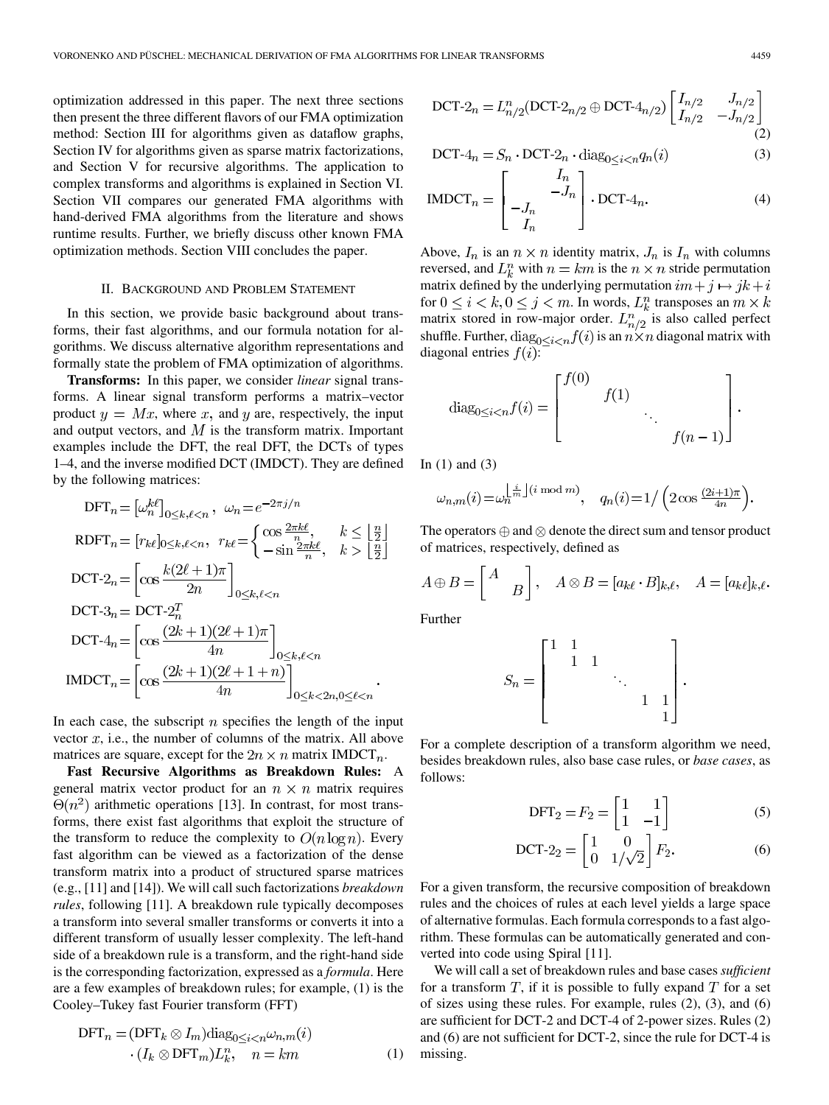optimization addressed in this paper. The next three sections then present the three different flavors of our FMA optimization method: Section III for algorithms given as dataflow graphs, Section IV for algorithms given as sparse matrix factorizations, and Section V for recursive algorithms. The application to complex transforms and algorithms is explained in Section VI. Section VII compares our generated FMA algorithms with hand-derived FMA algorithms from the literature and shows runtime results. Further, we briefly discuss other known FMA optimization methods. Section VIII concludes the paper.

# II. BACKGROUND AND PROBLEM STATEMENT

In this section, we provide basic background about transforms, their fast algorithms, and our formula notation for algorithms. We discuss alternative algorithm representations and formally state the problem of FMA optimization of algorithms.

**Transforms:** In this paper, we consider *linear* signal transforms. A linear signal transform performs a matrix–vector product  $y = Mx$ , where x, and y are, respectively, the input and output vectors, and  $M$  is the transform matrix. Important examples include the DFT, the real DFT, the DCTs of types 1–4, and the inverse modified DCT (IMDCT). They are defined by the following matrices:

$$
\begin{aligned}\n\text{DFT}_n &= \left[\omega_n^{k\ell}\right]_{0 \le k,\ell < n}, \ \omega_n = e^{-2\pi j/n} \\
\text{RDFT}_n &= \left[r_{k\ell}\right]_{0 \le k,\ell < n}, \ r_{k\ell} = \left\{\begin{matrix}\n\cos\frac{2\pi k\ell}{n}, & k \le \left\lfloor \frac{n}{2} \right\rfloor \\
-\sin\frac{2\pi k\ell}{n}, & k > \left\lfloor \frac{n}{2} \right\rfloor\n\end{matrix}\right. \\
\text{DCT-2}_n &= \left[\cos\frac{k(2\ell+1)\pi}{2n}\right]_{0 \le k,\ell < n} \\
\text{DCT-3}_n &= \text{DCT-2}_n^T \\
\text{DCT-4}_n &= \left[\cos\frac{(2k+1)(2\ell+1)\pi}{4n}\right]_{0 \le k,\ell < n} \\
\text{IMDCT}_n &= \left[\cos\frac{(2k+1)(2\ell+1+n)}{4n}\right]_{0 \le k < 2n, 0 \le \ell < n}.\n\end{aligned}
$$

In each case, the subscript  $n$  specifies the length of the input vector  $x$ , i.e., the number of columns of the matrix. All above matrices are square, except for the  $2n \times n$  matrix IMDCT<sub>n</sub>.

**Fast Recursive Algorithms as Breakdown Rules:** A general matrix vector product for an  $n \times n$  matrix requires  $\Theta(n^2)$  arithmetic operations [13]. In contrast, for most transforms, there exist fast algorithms that exploit the structure of the transform to reduce the complexity to  $O(n \log n)$ . Every fast algorithm can be viewed as a factorization of the dense transform matrix into a product of structured sparse matrices (e.g., [11] and [14]). We will call such factorizations *breakdown rules*, following [11]. A breakdown rule typically decomposes a transform into several smaller transforms or converts it into a different transform of usually lesser complexity. The left-hand side of a breakdown rule is a transform, and the right-hand side is the corresponding factorization, expressed as a *formula*. Here are a few examples of breakdown rules; for example, (1) is the Cooley–Tukey fast Fourier transform (FFT)

$$
\text{DFT}_n = (\text{DFT}_k \otimes I_m) \text{diag}_{0 \le i < n} \omega_{n,m}(i) \\ \cdot (I_k \otimes \text{DFT}_m) L_k^n, \quad n = km \tag{1}
$$

DCT-2<sub>n</sub> = 
$$
L_{n/2}^n
$$
(DCT-2<sub>n/2</sub>  $\oplus$  DCT-4<sub>n/2</sub>)  $\begin{bmatrix} I_{n/2} & J_{n/2} \\ I_{n/2} & -J_{n/2} \end{bmatrix}$  (2)

$$
DCT - 4n = Sn \cdot DCT - 2n \cdot diag_{0 \le i < n} q_n(i)
$$
 (3)

$$
IMDCTn = \begin{bmatrix} I_n \\ -J_n \\ I_n \end{bmatrix} \cdot DCT-4_n.
$$
 (4)

Above,  $I_n$  is an  $n \times n$  identity matrix,  $J_n$  is  $I_n$  with columns reversed, and  $L_k^n$  with  $n = km$  is the  $n \times n$  stride permutation matrix defined by the underlying permutation  $im + j \mapsto jk + i$ for  $0\leq i < k, 0\leq j < m.$  In words,  $L_k^n$  transposes an  $m\times k$ matrix stored in row-major order.  $L_{n/2}^n$  is also called perfect shuffle. Further,  $diag_{0\leq i\leq n}f(i)$  is an  $n\times n$  diagonal matrix with diagonal entries  $f(i)$ :

diag<sub>0\le i < n</sub> 
$$
f(i) = \begin{bmatrix} f(0) & & & \\ & f(1) & & \\ & & \ddots & \\ & & & f(n-1) \end{bmatrix}
$$
.

In  $(1)$  and  $(3)$ 

$$
\omega_{n,m}(i)\hspace{-0.1cm}=\hspace{-0.1cm}\omega_n^{\left\lfloor\frac{i}{m}\right\rfloor(i\hspace{-0.1cm}\mod\hspace{-0.1cm}m)},\quad q_n(i)\hspace{-0.1cm}=\hspace{-0.1cm}1/\left(2\cos\frac{(2i+1)\pi}{4n}\right)\hspace{-0.1cm}.
$$

The operators  $\oplus$  and  $\otimes$  denote the direct sum and tensor product of matrices, respectively, defined as

$$
A \oplus B = \begin{bmatrix} A \\ B \end{bmatrix}, \quad A \otimes B = [a_{k\ell} \cdot B]_{k,\ell}, \quad A = [a_{k\ell}]_{k,\ell}.
$$

Further

$$
S_n=\begin{bmatrix} 1 & 1 & & & & \\ & 1 & 1 & & & \\ & & & \ddots & & \\ & & & & 1 & 1 \\ & & & & & 1 \end{bmatrix}
$$

For a complete description of a transform algorithm we need, besides breakdown rules, also base case rules, or *base cases*, as follows:

$$
DFT_2 = F_2 = \begin{bmatrix} 1 & 1 \\ 1 & -1 \end{bmatrix} \tag{5}
$$

$$
\text{DCT-2}_2 = \begin{bmatrix} 1 & 0 \\ 0 & 1/\sqrt{2} \end{bmatrix} F_2. \tag{6}
$$

For a given transform, the recursive composition of breakdown rules and the choices of rules at each level yields a large space of alternative formulas. Each formula corresponds to a fast algorithm. These formulas can be automatically generated and converted into code using Spiral [11].

We will call a set of breakdown rules and base cases *sufficient* for a transform  $T$ , if it is possible to fully expand  $T$  for a set of sizes using these rules. For example, rules (2), (3), and (6) are sufficient for DCT-2 and DCT-4 of 2-power sizes. Rules (2) and (6) are not sufficient for DCT-2, since the rule for DCT-4 is missing.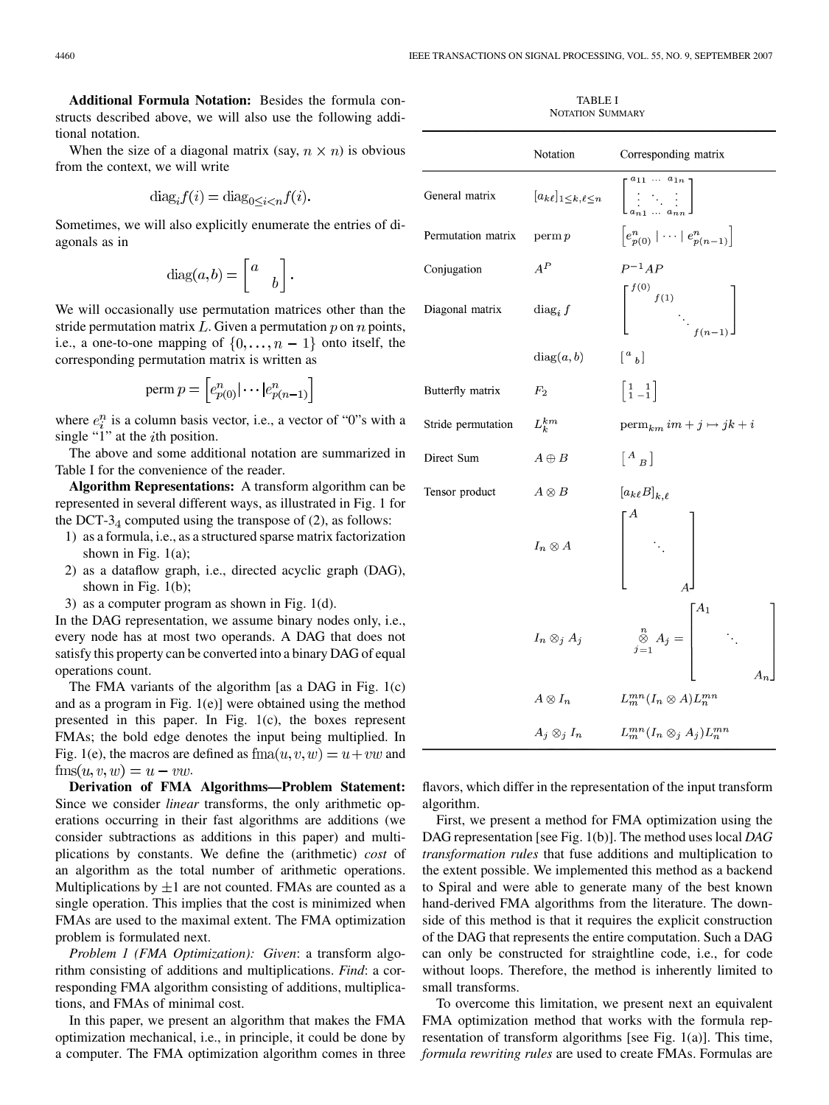**Additional Formula Notation:** Besides the formula constructs described above, we will also use the following additional notation.

When the size of a diagonal matrix (say,  $n \times n$ ) is obvious from the context, we will write

$$
\text{diag}_i f(i) = \text{diag}_{0 \le i \le n} f(i).
$$

Sometimes, we will also explicitly enumerate the entries of diagonals as in

$$
diag(a,b) = \begin{bmatrix} a \\ b \end{bmatrix}.
$$

We will occasionally use permutation matrices other than the stride permutation matrix  $L$ . Given a permutation  $p$  on  $n$  points, i.e., a one-to-one mapping of  $\{0, \ldots, n-1\}$  onto itself, the corresponding permutation matrix is written as

$$
\text{perm } p = \left[ e_{p(0)}^n | \cdots | e_{p(n-1)}^n \right]
$$

where  $e_i^n$  is a column basis vector, i.e., a vector of "0"s with a single " $1$ " at the *i*th position.

The above and some additional notation are summarized in Table I for the convenience of the reader.

**Algorithm Representations:** A transform algorithm can be represented in several different ways, as illustrated in Fig. 1 for the DCT- $3<sub>4</sub>$  computed using the transpose of (2), as follows:

- 1) as a formula, i.e., as a structured sparse matrix factorization shown in Fig.  $1(a)$ ;
- 2) as a dataflow graph, i.e., directed acyclic graph (DAG), shown in Fig. 1(b);
- 3) as a computer program as shown in Fig. 1(d).

In the DAG representation, we assume binary nodes only, i.e., every node has at most two operands. A DAG that does not satisfy this property can be converted into a binary DAG of equal operations count.

The FMA variants of the algorithm [as a DAG in Fig. 1(c) and as a program in Fig. 1(e)] were obtained using the method presented in this paper. In Fig. 1(c), the boxes represent FMAs; the bold edge denotes the input being multiplied. In Fig. 1(e), the macros are defined as  $f_{\text{ma}}(u, v, w) = u + vw$  and  $\text{fms}(u, v, w) = u - vw.$ 

**Derivation of FMA Algorithms—Problem Statement:** Since we consider *linear* transforms, the only arithmetic operations occurring in their fast algorithms are additions (we consider subtractions as additions in this paper) and multiplications by constants. We define the (arithmetic) *cost* of an algorithm as the total number of arithmetic operations. Multiplications by  $\pm 1$  are not counted. FMAs are counted as a single operation. This implies that the cost is minimized when FMAs are used to the maximal extent. The FMA optimization problem is formulated next.

*Problem 1 (FMA Optimization): Given*: a transform algorithm consisting of additions and multiplications. *Find*: a corresponding FMA algorithm consisting of additions, multiplications, and FMAs of minimal cost.

In this paper, we present an algorithm that makes the FMA optimization mechanical, i.e., in principle, it could be done by a computer. The FMA optimization algorithm comes in three

TABLE I NOTATION SUMMARY

|                    | Notation            | Corresponding matrix                                                                                                                                 |
|--------------------|---------------------|------------------------------------------------------------------------------------------------------------------------------------------------------|
| General matrix     |                     | $[a_k \ell]_{1 \leq k,\ell \leq n}$ $\begin{bmatrix} a_{11} & \cdots & a_{1n} \\ \vdots & \ddots & \vdots \\ \vdots & \ddots & \vdots \end{bmatrix}$ |
| Permutation matrix | perm p              | $\left[e_{p(0)}^n \mid \cdots \mid e_{p(n-1)}^n\right]$                                                                                              |
| Conjugation        | $A^{\cal P}$        | $P^{-1}AP$                                                                                                                                           |
| Diagonal matrix    | $diag_i f$          | $\begin{bmatrix} f^{(0)} & & & \\ & f^{(1)} & & \\ & & \ddots & \\ & & & f^{(n-1)} \end{bmatrix}$                                                    |
|                    | diag(a, b)          | $\begin{bmatrix} a & b \end{bmatrix}$                                                                                                                |
| Butterfly matrix   | $F_2$               | $\left  \begin{array}{cc} 1 & 1 \\ 1 & -1 \end{array} \right $                                                                                       |
| Stride permutation | $L_k^{km}$          | $\operatorname{perm}_{km} im + j \mapsto jk + i$                                                                                                     |
| Direct Sum         | $A \oplus B$        | $\left[ \begin{smallmatrix} A & \ & B \end{smallmatrix} \right]$                                                                                     |
| Tensor product     | $A \otimes B$       | $[a_{k\ell}B]_{k,\ell}$                                                                                                                              |
|                    | $I_n \otimes A$     | $\begin{bmatrix} \ddots \end{bmatrix}$                                                                                                               |
|                    | $I_n \otimes_j A_j$ | $\begin{bmatrix} n \\ \otimes A_j = \\ \vdots \end{bmatrix} A_1$ .                                                                                   |
|                    | $A\otimes I_n$      | $L_m^{mn}(I_n \otimes A)L_n^{mn}$                                                                                                                    |
|                    | $A_j \otimes_i I_n$ | $L_m^{mn}(I_n \otimes_j A_j)L_n^{mn}$                                                                                                                |

flavors, which differ in the representation of the input transform algorithm.

First, we present a method for FMA optimization using the DAG representation [see Fig. 1(b)]. The method uses local *DAG transformation rules* that fuse additions and multiplication to the extent possible. We implemented this method as a backend to Spiral and were able to generate many of the best known hand-derived FMA algorithms from the literature. The downside of this method is that it requires the explicit construction of the DAG that represents the entire computation. Such a DAG can only be constructed for straightline code, i.e., for code without loops. Therefore, the method is inherently limited to small transforms.

To overcome this limitation, we present next an equivalent FMA optimization method that works with the formula representation of transform algorithms [see Fig. 1(a)]. This time, *formula rewriting rules* are used to create FMAs. Formulas are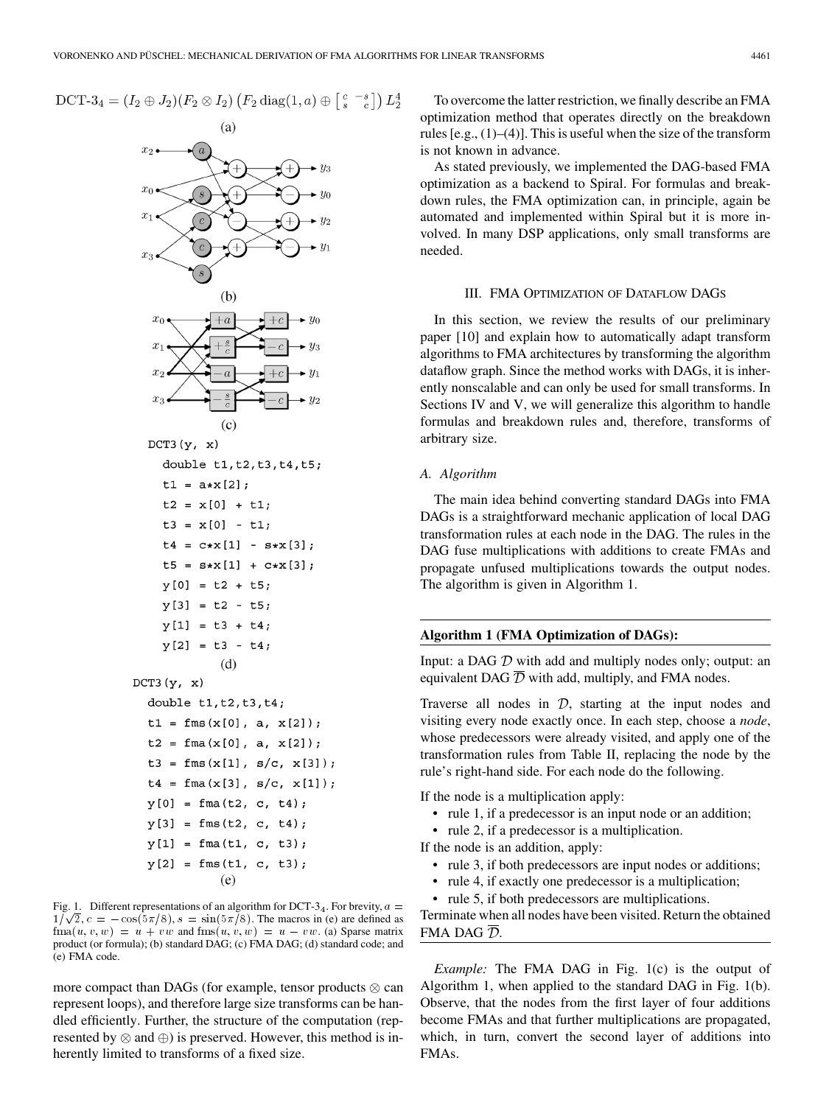# DCT-3<sub>4</sub> =  $(I_2 \oplus J_2)(F_2 \otimes I_2)$   $(F_2 \operatorname{diag}(1, a) \oplus \begin{bmatrix} c & -s \\ s & c \end{bmatrix}) L_2^4$



Fig. 1. Different representations of an algorithm for DCT-3<sub>4</sub>. For brevity,  $a =$  $1/\sqrt{2}$ ,  $c = -\cos(5\pi/8)$ ,  $s = \sin(5\pi/8)$ . The macros in (e) are defined as  $\text{fma}(u, v, w) = u + vw$  and  $\text{fms}(u, v, w) = u - vw$ . (a) Sparse matrix product (or formula); (b) standard DAG; (c) FMA DAG; (d) standard code; and (e) FMA code.

more compact than DAGs (for example, tensor products  $\otimes$  can represent loops), and therefore large size transforms can be handled efficiently. Further, the structure of the computation (represented by  $\otimes$  and  $\oplus$ ) is preserved. However, this method is inherently limited to transforms of a fixed size.

To overcome the latter restriction, we finally describe an FMA optimization method that operates directly on the breakdown rules  $[e.g., (1)–(4)]$ . This is useful when the size of the transform is not known in advance.

As stated previously, we implemented the DAG-based FMA optimization as a backend to Spiral. For formulas and breakdown rules, the FMA optimization can, in principle, again be automated and implemented within Spiral but it is more involved. In many DSP applications, only small transforms are needed.

# III. FMA OPTIMIZATION OF DATAFLOW DAGS

In this section, we review the results of our preliminary paper [10] and explain how to automatically adapt transform algorithms to FMA architectures by transforming the algorithm dataflow graph. Since the method works with DAGs, it is inherently nonscalable and can only be used for small transforms. In Sections IV and V, we will generalize this algorithm to handle formulas and breakdown rules and, therefore, transforms of arbitrary size.

# *A. Algorithm*

The main idea behind converting standard DAGs into FMA DAGs is a straightforward mechanic application of local DAG transformation rules at each node in the DAG. The rules in the DAG fuse multiplications with additions to create FMAs and propagate unfused multiplications towards the output nodes. The algorithm is given in Algorithm 1.

# **Algorithm 1 (FMA Optimization of DAGs):**

Input: a DAG  $D$  with add and multiply nodes only; output: an equivalent DAG  $\overline{D}$  with add, multiply, and FMA nodes.

Traverse all nodes in  $D$ , starting at the input nodes and visiting every node exactly once. In each step, choose a *node*, whose predecessors were already visited, and apply one of the transformation rules from Table II, replacing the node by the rule's right-hand side. For each node do the following.

If the node is a multiplication apply:

- rule 1, if a predecessor is an input node or an addition;
- rule 2, if a predecessor is a multiplication.

If the node is an addition, apply:

- rule 3, if both predecessors are input nodes or additions;
- rule 4, if exactly one predecessor is a multiplication;
- rule 5, if both predecessors are multiplications.

Terminate when all nodes have been visited. Return the obtained FMA DAG  $\overline{\mathcal{D}}$ .

*Example:* The FMA DAG in Fig. 1(c) is the output of Algorithm 1, when applied to the standard DAG in Fig. 1(b). Observe, that the nodes from the first layer of four additions become FMAs and that further multiplications are propagated, which, in turn, convert the second layer of additions into FMAs.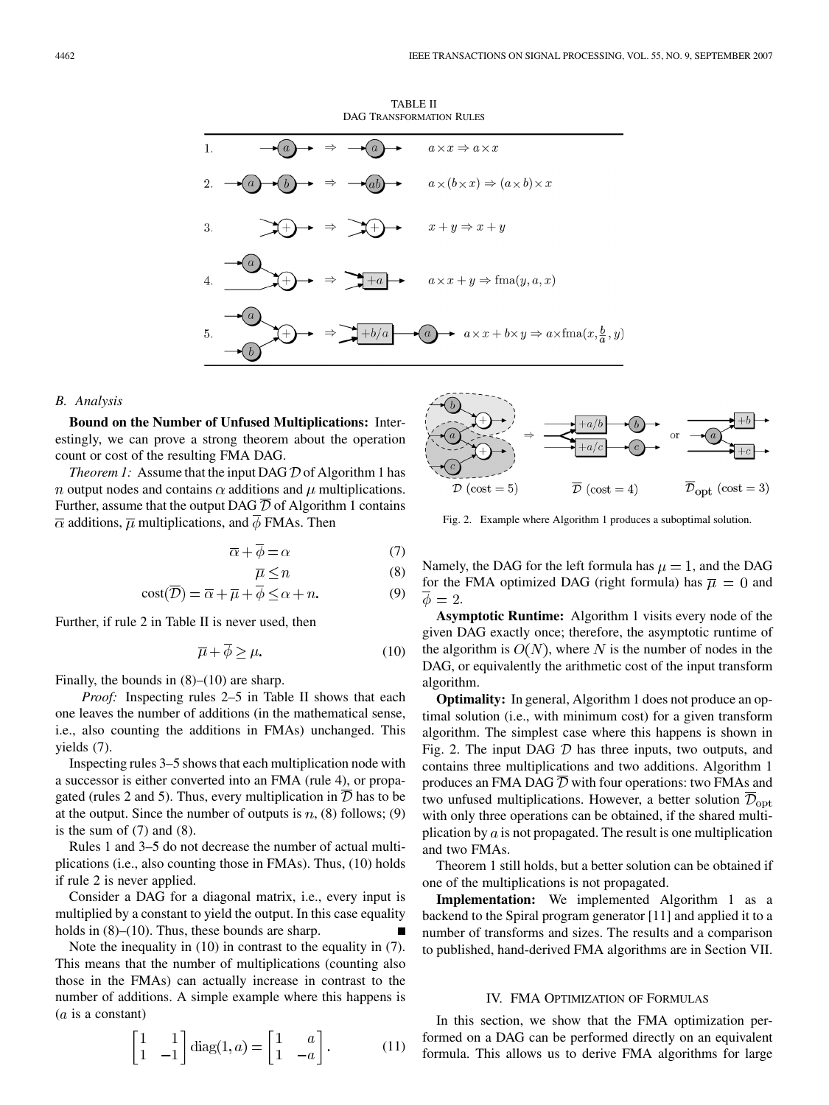TABLE II DAG TRANSFORMATION RULES



#### *B. Analysis*

**Bound on the Number of Unfused Multiplications:** Interestingly, we can prove a strong theorem about the operation count or cost of the resulting FMA DAG.

*Theorem 1:* Assume that the input DAG  $D$  of Algorithm 1 has *n* output nodes and contains  $\alpha$  additions and  $\mu$  multiplications. Further, assume that the output DAG  $\overline{\mathcal{D}}$  of Algorithm 1 contains  $\overline{\alpha}$  additions,  $\overline{\mu}$  multiplications, and  $\overline{\phi}$  FMAs. Then

$$
\overline{\alpha} + \overline{\phi} = \alpha \tag{7}
$$

$$
\overline{\mu} \le n \tag{8}
$$

$$
cost(\overline{\mathcal{D}}) = \overline{\alpha} + \overline{\mu} + \overline{\phi} \le \alpha + n. \tag{9}
$$

Further, if rule 2 in Table II is never used, then

$$
\overline{\mu} + \overline{\phi} \ge \mu. \tag{10}
$$

Finally, the bounds in  $(8)$ – $(10)$  are sharp.

*Proof:* Inspecting rules 2–5 in Table II shows that each one leaves the number of additions (in the mathematical sense, i.e., also counting the additions in FMAs) unchanged. This yields (7).

Inspecting rules 3–5 shows that each multiplication node with a successor is either converted into an FMA (rule 4), or propagated (rules 2 and 5). Thus, every multiplication in  $\overline{\mathcal{D}}$  has to be at the output. Since the number of outputs is  $n$ , (8) follows; (9) is the sum of  $(7)$  and  $(8)$ .

Rules 1 and 3–5 do not decrease the number of actual multiplications (i.e., also counting those in FMAs). Thus, (10) holds if rule 2 is never applied.

Consider a DAG for a diagonal matrix, i.e., every input is multiplied by a constant to yield the output. In this case equality holds in  $(8)$ – $(10)$ . Thus, these bounds are sharp.

Note the inequality in (10) in contrast to the equality in (7). This means that the number of multiplications (counting also those in the FMAs) can actually increase in contrast to the number of additions. A simple example where this happens is  $(a$  is a constant)

$$
\begin{bmatrix} 1 & 1 \ 1 & -1 \end{bmatrix} diag(1, a) = \begin{bmatrix} 1 & a \ 1 & -a \end{bmatrix}.
$$
 (11)



Fig. 2. Example where Algorithm 1 produces a suboptimal solution.

Namely, the DAG for the left formula has  $\mu = 1$ , and the DAG for the FMA optimized DAG (right formula) has  $\overline{\mu} = 0$  and  $\overline{\phi}=2.$ 

**Asymptotic Runtime:** Algorithm 1 visits every node of the given DAG exactly once; therefore, the asymptotic runtime of the algorithm is  $O(N)$ , where N is the number of nodes in the DAG, or equivalently the arithmetic cost of the input transform algorithm.

**Optimality:** In general, Algorithm 1 does not produce an optimal solution (i.e., with minimum cost) for a given transform algorithm. The simplest case where this happens is shown in Fig. 2. The input DAG  $D$  has three inputs, two outputs, and contains three multiplications and two additions. Algorithm 1 produces an FMA DAG  $\overline{D}$  with four operations: two FMAs and two unfused multiplications. However, a better solution  $\overline{\mathcal{D}}_{\text{opt}}$ with only three operations can be obtained, if the shared multiplication by  $\alpha$  is not propagated. The result is one multiplication and two FMAs.

Theorem 1 still holds, but a better solution can be obtained if one of the multiplications is not propagated.

**Implementation:** We implemented Algorithm 1 as a backend to the Spiral program generator [11] and applied it to a number of transforms and sizes. The results and a comparison to published, hand-derived FMA algorithms are in Section VII.

# IV. FMA OPTIMIZATION OF FORMULAS

In this section, we show that the FMA optimization performed on a DAG can be performed directly on an equivalent formula. This allows us to derive FMA algorithms for large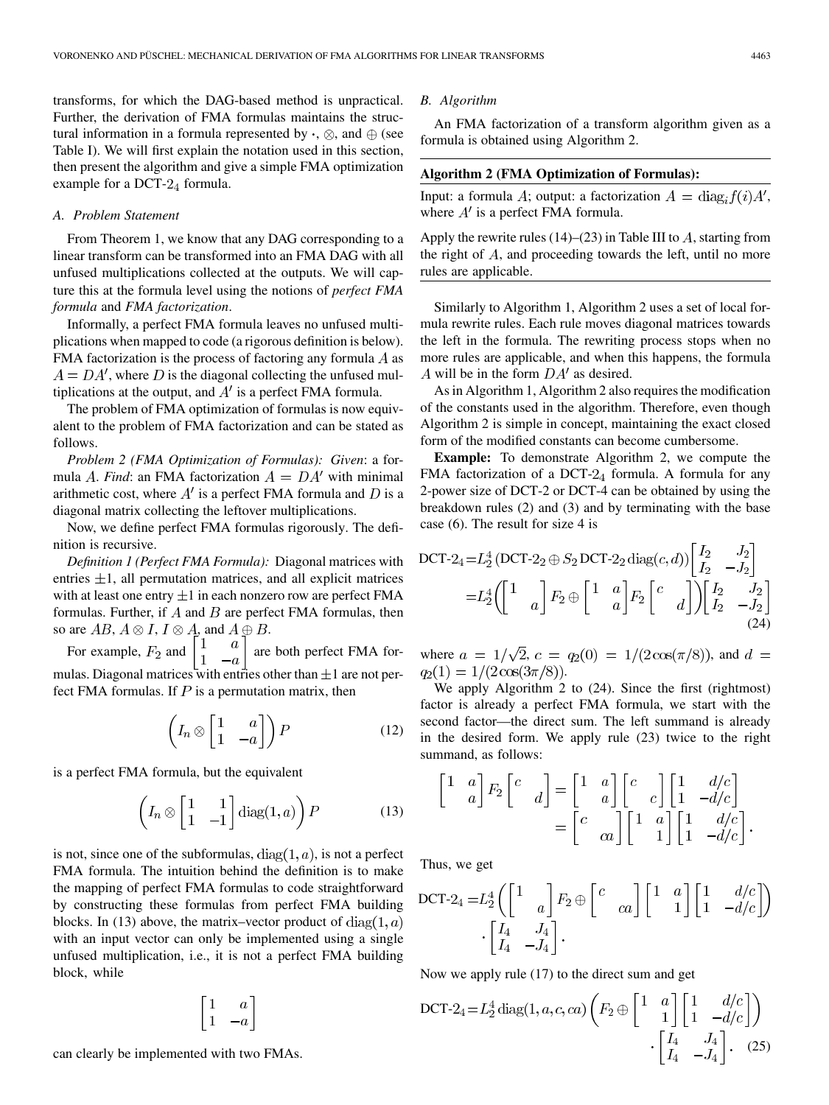transforms, for which the DAG-based method is unpractical. Further, the derivation of FMA formulas maintains the structural information in a formula represented by  $\cdot$ ,  $\otimes$ , and  $\oplus$  (see Table I). We will first explain the notation used in this section, then present the algorithm and give a simple FMA optimization example for a DCT- $2_4$  formula.

#### *A. Problem Statement*

From Theorem 1, we know that any DAG corresponding to a linear transform can be transformed into an FMA DAG with all unfused multiplications collected at the outputs. We will capture this at the formula level using the notions of *perfect FMA formula* and *FMA factorization*.

Informally, a perfect FMA formula leaves no unfused multiplications when mapped to code (a rigorous definition is below). FMA factorization is the process of factoring any formula  $A$  as  $A = DA'$ , where D is the diagonal collecting the unfused multiplications at the output, and  $A'$  is a perfect FMA formula.

The problem of FMA optimization of formulas is now equivalent to the problem of FMA factorization and can be stated as follows.

*Problem 2 (FMA Optimization of Formulas): Given*: a formula A. *Find*: an FMA factorization  $A = DA'$  with minimal arithmetic cost, where  $A'$  is a perfect FMA formula and D is a diagonal matrix collecting the leftover multiplications.

Now, we define perfect FMA formulas rigorously. The definition is recursive.

*Definition 1 (Perfect FMA Formula):* Diagonal matrices with entries  $\pm 1$ , all permutation matrices, and all explicit matrices with at least one entry  $\pm 1$  in each nonzero row are perfect FMA formulas. Further, if  $A$  and  $B$  are perfect FMA formulas, then so are  $AB$ ,  $A \otimes I$ ,  $I \otimes A$ , and  $A \oplus B$ .

For example,  $F_2$  and  $\begin{bmatrix} 1 & u \\ 1 & u \end{bmatrix}$  are both perfect FMA formulas. Diagonal matrices with entries other than  $\pm 1$  are not perfect FMA formulas. If  $P$  is a permutation matrix, then

$$
\left(I_n \otimes \begin{bmatrix} 1 & a \\ 1 & -a \end{bmatrix}\right) P \tag{12}
$$

is a perfect FMA formula, but the equivalent

$$
\left(I_n \otimes \begin{bmatrix} 1 & 1 \\ 1 & -1 \end{bmatrix} \text{diag}(1, a)\right) P \tag{13}
$$

is not, since one of the subformulas,  $diag(1, a)$ , is not a perfect FMA formula. The intuition behind the definition is to make the mapping of perfect FMA formulas to code straightforward by constructing these formulas from perfect FMA building blocks. In (13) above, the matrix–vector product of  $diag(1, a)$ with an input vector can only be implemented using a single unfused multiplication, i.e., it is not a perfect FMA building block, while

$$
\begin{bmatrix} 1 & a \\ 1 & -a \end{bmatrix}
$$

*B. Algorithm*

An FMA factorization of a transform algorithm given as a formula is obtained using Algorithm 2.

# **Algorithm 2 (FMA Optimization of Formulas):**

Input: a formula A; output: a factorization  $A = \text{diag}_i f(i) A'$ , where  $A'$  is a perfect FMA formula.

Apply the rewrite rules  $(14)$ – $(23)$  in Table III to A, starting from the right of  $A$ , and proceeding towards the left, until no more rules are applicable.

Similarly to Algorithm 1, Algorithm 2 uses a set of local formula rewrite rules. Each rule moves diagonal matrices towards the left in the formula. The rewriting process stops when no more rules are applicable, and when this happens, the formula A will be in the form  $DA'$  as desired.

As in Algorithm 1, Algorithm 2 also requires the modification of the constants used in the algorithm. Therefore, even though Algorithm 2 is simple in concept, maintaining the exact closed form of the modified constants can become cumbersome.

**Example:** To demonstrate Algorithm 2, we compute the FMA factorization of a DCT- $2<sub>4</sub>$  formula. A formula for any 2-power size of DCT-2 or DCT-4 can be obtained by using the breakdown rules (2) and (3) and by terminating with the base case (6). The result for size 4 is

$$
DCT - 2_4 = L_2^4 (DCT - 2_2 \oplus S_2 DCT - 2_2 \operatorname{diag}(c, d)) \begin{bmatrix} I_2 & J_2 \\ I_2 & -J_2 \end{bmatrix}
$$
  
=  $L_2^4 \begin{bmatrix} 1 & a \\ & a \end{bmatrix} F_2 \oplus \begin{bmatrix} 1 & a \\ & a \end{bmatrix} F_2 \begin{bmatrix} c & \\ & d \end{bmatrix} \begin{bmatrix} I_2 & J_2 \\ I_2 & -J_2 \end{bmatrix}$  (24)

where  $a = 1/\sqrt{2}$ ,  $c = q_2(0) = 1/(2\cos(\pi/8))$ , and  $d =$  $q_2(1) = 1/(2 \cos(3\pi/8)).$ 

We apply Algorithm 2 to (24). Since the first (rightmost) factor is already a perfect FMA formula, we start with the second factor—the direct sum. The left summand is already in the desired form. We apply rule (23) twice to the right summand, as follows:

$$
\begin{bmatrix} 1 & a \ a \end{bmatrix} F_2 \begin{bmatrix} c & \\ & d \end{bmatrix} = \begin{bmatrix} 1 & a \ a \end{bmatrix} \begin{bmatrix} c & \\ & c \end{bmatrix} \begin{bmatrix} 1 & d/c \ 1 & -d/c \end{bmatrix}
$$

$$
= \begin{bmatrix} c & \\ & ca \end{bmatrix} \begin{bmatrix} 1 & a \ 1 & 1 \end{bmatrix} \begin{bmatrix} 1 & d/c \ 1 & -d/c \end{bmatrix}.
$$

Thus, we get

DCT-2<sub>4</sub> = 
$$
L_2^4 \left( \begin{bmatrix} 1 & a \ a \end{bmatrix} F_2 \oplus \begin{bmatrix} c & a \ c & a \end{bmatrix} \begin{bmatrix} 1 & a \ 1 & 1 \end{bmatrix} \begin{bmatrix} 1 & d/c \ 1 & -d/c \end{bmatrix} \right)
$$
  
  $\cdot \begin{bmatrix} I_4 & J_4 \ I_4 & -J_4 \end{bmatrix}$ .

Now we apply rule (17) to the direct sum and get

DCT-2<sub>4</sub>=
$$
L_2^4
$$
diag(1, a, c, ca)  $\left(F_2 \oplus \begin{bmatrix} 1 & a \\ & 1 \end{bmatrix} \begin{bmatrix} 1 & d/c \\ 1 & -d/c \end{bmatrix}\right)$   
 $\cdot \begin{bmatrix} I_4 & J_4 \\ I_4 & -J_4 \end{bmatrix}$  (25)

can clearly be implemented with two FMAs.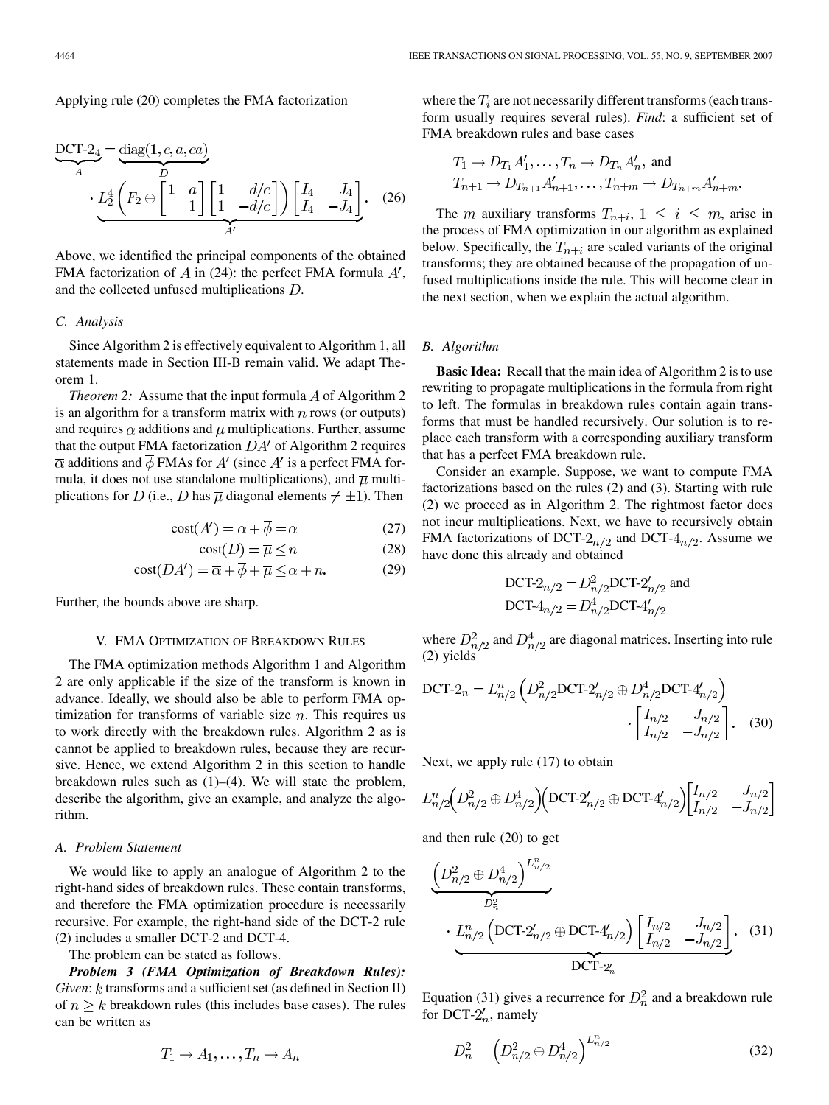Applying rule (20) completes the FMA factorization

$$
\underbrace{DCT-2_4}_{A} = \underbrace{\text{diag}(1, c, a, ca)}_{D}
$$
\n
$$
\underbrace{L_2^4 \left(F_2 \oplus \begin{bmatrix} 1 & a \\ & 1 \end{bmatrix} \begin{bmatrix} 1 & d/c \\ 1 & -d/c \end{bmatrix} \right) \begin{bmatrix} I_4 & J_4 \\ I_4 & -J_4 \end{bmatrix}}_{A'}.
$$
\n(26)

Above, we identified the principal components of the obtained FMA factorization of A in (24): the perfect FMA formula  $A'$ , and the collected unfused multiplications  $D$ .

# *C. Analysis*

Since Algorithm 2 is effectively equivalent to Algorithm 1, all statements made in Section III-B remain valid. We adapt Theorem 1.

*Theorem 2:* Assume that the input formula  $\ddot{A}$  of Algorithm 2 is an algorithm for a transform matrix with  $n$  rows (or outputs) and requires  $\alpha$  additions and  $\mu$  multiplications. Further, assume that the output FMA factorization  $DA'$  of Algorithm 2 requires  $\overline{\alpha}$  additions and  $\overline{\phi}$  FMAs for A' (since A' is a perfect FMA formula, it does not use standalone multiplications), and  $\overline{\mu}$  multiplications for D (i.e., D has  $\overline{\mu}$  diagonal elements  $\neq \pm 1$ ). Then

$$
cost(A') = \overline{\alpha} + \overline{\phi} = \alpha \tag{27}
$$

$$
cost(D) = \overline{\mu} \le n \tag{28}
$$

$$
cost(DA') = \overline{\alpha} + \overline{\phi} + \overline{\mu} \le \alpha + n. \tag{29}
$$

Further, the bounds above are sharp.

#### V. FMA OPTIMIZATION OF BREAKDOWN RULES

The FMA optimization methods Algorithm 1 and Algorithm 2 are only applicable if the size of the transform is known in advance. Ideally, we should also be able to perform FMA optimization for transforms of variable size  $n$ . This requires us to work directly with the breakdown rules. Algorithm 2 as is cannot be applied to breakdown rules, because they are recursive. Hence, we extend Algorithm 2 in this section to handle breakdown rules such as (1)–(4). We will state the problem, describe the algorithm, give an example, and analyze the algorithm.

#### *A. Problem Statement*

We would like to apply an analogue of Algorithm 2 to the right-hand sides of breakdown rules. These contain transforms, and therefore the FMA optimization procedure is necessarily recursive. For example, the right-hand side of the DCT-2 rule (2) includes a smaller DCT-2 and DCT-4.

The problem can be stated as follows.

*Problem 3 (FMA Optimization of Breakdown Rules): Given*: k transforms and a sufficient set (as defined in Section II) of  $n \geq k$  breakdown rules (this includes base cases). The rules can be written as

$$
T_1 \to A_1, \ldots, T_n \to A_n
$$

where the  $T_i$  are not necessarily different transforms (each transform usually requires several rules). *Find*: a sufficient set of FMA breakdown rules and base cases

$$
T_1 \to D_{T_1} A'_1, \dots, T_n \to D_{T_n} A'_n
$$
, and  
 $T_{n+1} \to D_{T_{n+1}} A'_{n+1}, \dots, T_{n+m} \to D_{T_{n+m}} A'_{n+m}$ .

The m auxiliary transforms  $T_{n+i}$ ,  $1 \leq i \leq m$ , arise in the process of FMA optimization in our algorithm as explained below. Specifically, the  $T_{n+i}$  are scaled variants of the original transforms; they are obtained because of the propagation of unfused multiplications inside the rule. This will become clear in the next section, when we explain the actual algorithm.

# *B. Algorithm*

**Basic Idea:** Recall that the main idea of Algorithm 2 is to use rewriting to propagate multiplications in the formula from right to left. The formulas in breakdown rules contain again transforms that must be handled recursively. Our solution is to replace each transform with a corresponding auxiliary transform that has a perfect FMA breakdown rule.

Consider an example. Suppose, we want to compute FMA factorizations based on the rules (2) and (3). Starting with rule (2) we proceed as in Algorithm 2. The rightmost factor does not incur multiplications. Next, we have to recursively obtain FMA factorizations of DCT- $2_{n/2}$  and DCT- $4_{n/2}$ . Assume we have done this already and obtained

DCT-2<sub>n/2</sub> = 
$$
D_{n/2}^2
$$
 DCT-2'<sub>n/2</sub> and  
DCT-4<sub>n/2</sub> =  $D_{n/2}^4$  DCT-4'<sub>n/2</sub>

where  $D_{n/2}^2$  and  $D_{n/2}^4$  are diagonal matrices. Inserting into rule (2) yields

DCT-2<sub>n</sub> = 
$$
L_{n/2}^n \left( D_{n/2}^2 \text{DCT-2}'_{n/2} \oplus D_{n/2}^4 \text{DCT-4}'_{n/2} \right)
$$
  
 
$$
\cdot \left[ \begin{array}{cc} I_{n/2} & J_{n/2} \\ I_{n/2} & -J_{n/2} \end{array} \right].
$$
 (30)

Next, we apply rule (17) to obtain

$$
L_{n/2}^n \Big( D_{n/2}^2 \oplus D_{n/2}^4 \Big) \Big( \text{DCT-2}'_{n/2} \oplus \text{DCT-4}'_{n/2} \Big) \Big[ \begin{matrix} I_{n/2} & J_{n/2} \\ I_{n/2} & -J_{n/2} \end{matrix} \Big]
$$

and then rule (20) to get

$$
\underbrace{\left(D_{n/2}^2 \oplus D_{n/2}^4\right)^{L_{n/2}^n}}_{D_n^2}
$$
\n
$$
\cdot \underbrace{L_{n/2}^n \left(\text{DCT-2}'_{n/2} \oplus \text{DCT-4}'_{n/2}\right) \left[\begin{matrix} I_{n/2} & J_{n/2} \\ I_{n/2} & -J_{n/2} \end{matrix}\right]}_{\text{DCT-2}'_n}.
$$
\n(31)

Equation (31) gives a recurrence for  $D_n^2$  and a breakdown rule for DCT- $2'_n$ , namely

$$
D_n^2 = \left( D_{n/2}^2 \oplus D_{n/2}^4 \right)^{L_{n/2}^n} \tag{32}
$$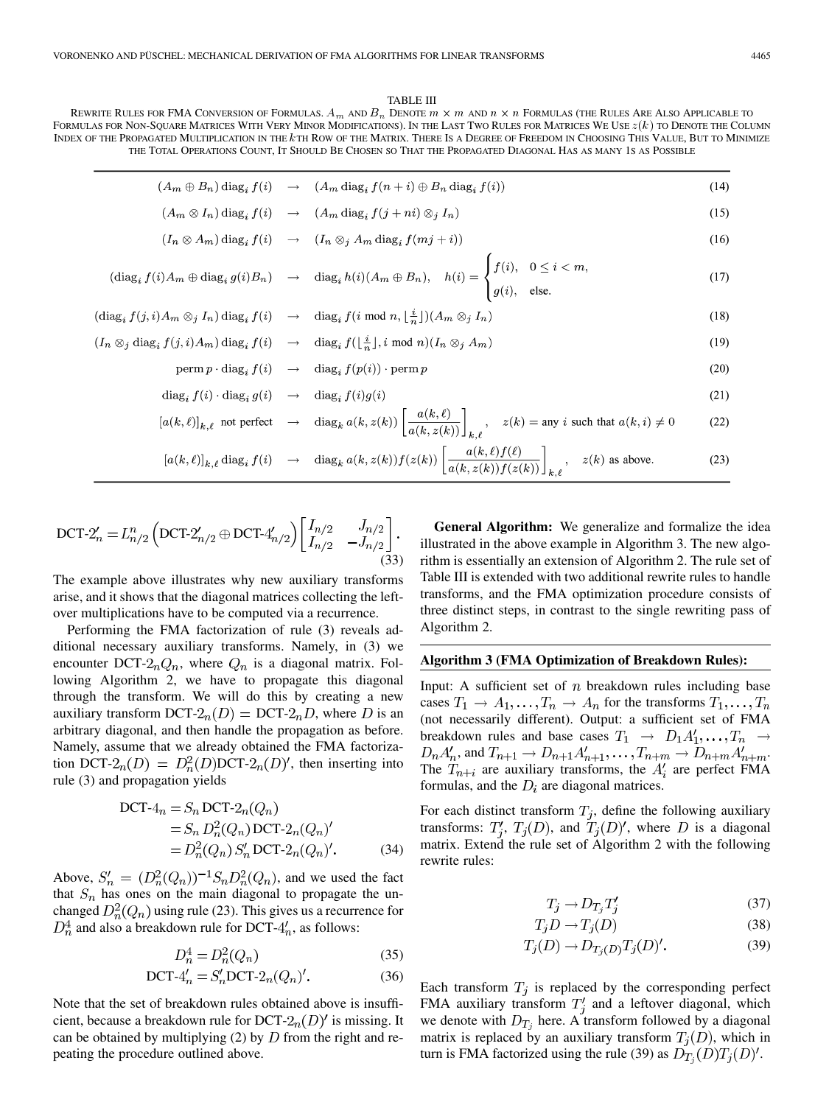#### TABLE III

REWRITE RULES FOR FMA CONVERSION OF FORMULAS.  $A_m$  and  $B_n$  Denote  $m\times m$  and  $n\times n$  Formulas (the Rules Are Also Applicable to FORMULAS FOR NON-SQUARE MATRICES WITH VERY MINOR MODIFICATIONS). IN THE LAST TWO RULES FOR MATRICES WE USE  $z(k)$  to DENOTE THE COLUMN INDEX OF THE PROPAGATED MULTIPLICATION IN THE kTH ROW OF THE MATRIX. THERE IS A DEGREE OF FREEDOM IN CHOOSING THIS VALUE, BUT TO MINIMIZE THE TOTAL OPERATIONS COUNT, IT SHOULD BE CHOSEN SO THAT THE PROPAGATED DIAGONAL HAS AS MANY 1S AS POSSIBLE

$$
(A_m \oplus B_n) \operatorname{diag}_i f(i) \rightarrow (A_m \operatorname{diag}_i f(n+i) \oplus B_n \operatorname{diag}_i f(i))
$$
\n(14)

$$
(A_m \otimes I_n) \operatorname{diag}_i f(i) \rightarrow (A_m \operatorname{diag}_i f(j + ni) \otimes_j I_n)
$$
\n(15)

$$
(I_n \otimes A_m) \operatorname{diag}_i f(i) \rightarrow (I_n \otimes_j A_m \operatorname{diag}_i f(mj+i)) \tag{16}
$$

$$
(\text{diag}_i f(i) A_m \oplus \text{diag}_i g(i) B_n) \rightarrow \text{diag}_i h(i) (A_m \oplus B_n), \quad h(i) = \begin{cases} f(i), & 0 \le i < m, \\ g(i), & \text{else.} \end{cases} \tag{17}
$$

$$
(\text{diag}_{i} f(j, i) A_{m} \otimes_{j} I_{n}) \text{diag}_{i} f(i) \rightarrow \text{diag}_{i} f(i \text{ mod } n, \lfloor \frac{i}{n} \rfloor) (A_{m} \otimes_{j} I_{n})
$$
\n(18)

$$
(I_n \otimes_j \text{diag}_i f(j, i) A_m) \text{diag}_i f(i) \rightarrow \text{diag}_i f(\lfloor \frac{i}{n} \rfloor, i \text{ mod } n) (I_n \otimes_j A_m)
$$
\n(19)

$$
\text{perm } p \cdot \text{diag}_{i} f(i) \rightarrow \text{diag}_{i} f(p(i)) \cdot \text{perm } p \tag{20}
$$

$$
\operatorname{diag}_{i} f(i) \cdot \operatorname{diag}_{i} g(i) \rightarrow \operatorname{diag}_{i} f(i)g(i)
$$
\n(21)

$$
[a(k,\ell)]_{k,\ell} \text{ not perfect } \rightarrow \text{diag}_k a(k,z(k)) \left[ \frac{a(k,\ell)}{a(k,z(k))} \right]_{k,\ell}, \quad z(k) = \text{any } i \text{ such that } a(k,i) \neq 0 \tag{22}
$$

$$
[a(k,\ell)]_{k,\ell} \operatorname{diag}_i f(i) \rightarrow \operatorname{diag}_k a(k,z(k)) f(z(k)) \left[ \frac{a(k,\ell)f(\ell)}{a(k,z(k))f(z(k))} \right]_{k,\ell}, \quad z(k) \text{ as above.}
$$
 (23)

$$
\text{DCT-2}'_n = L_{n/2}^n \left( \text{DCT-2}'_{n/2} \oplus \text{DCT-4}'_{n/2} \right) \begin{bmatrix} I_{n/2} & J_{n/2} \\ I_{n/2} & -J_{n/2} \end{bmatrix} . \tag{33}
$$

The example above illustrates why new auxiliary transforms arise, and it shows that the diagonal matrices collecting the leftover multiplications have to be computed via a recurrence.

Performing the FMA factorization of rule (3) reveals additional necessary auxiliary transforms. Namely, in (3) we encounter DCT- $2nQ_n$ , where  $Q_n$  is a diagonal matrix. Following Algorithm 2, we have to propagate this diagonal through the transform. We will do this by creating a new auxiliary transform DCT- $2_n(D) = DCT-2_nD$ , where D is an arbitrary diagonal, and then handle the propagation as before. Namely, assume that we already obtained the FMA factorization DCT- $2_n(D) = D_n^2(D)$ DCT- $2_n(D)'$ , then inserting into rule (3) and propagation yields

$$
DCT-4n = Sn DCT-2n(Qn)
$$
  
= S<sub>n</sub> D<sub>n</sub><sup>2</sup>(Q<sub>n</sub>) DCT-2<sub>n</sub>(Q<sub>n</sub>)'  
= D<sub>n</sub><sup>2</sup>(Q<sub>n</sub>) S'<sub>n</sub> DCT-2<sub>n</sub>(Q<sub>n</sub>)'. (34)

Above,  $S'_n = (D_n^2(Q_n))^{-1} S_n D_n^2(Q_n)$ , and we used the fact that  $S_n$  has ones on the main diagonal to propagate the unchanged  $D_n^2(Q_n)$  using rule (23). This gives us a recurrence for  $D_n^4$  and also a breakdown rule for DCT- $4'_n$ , as follows:

$$
D_n^4 = D_n^2(Q_n) \tag{35}
$$

$$
\text{DCT-4}'_n = S'_n \text{DCT-2}_n(Q_n)'.\tag{36}
$$

Note that the set of breakdown rules obtained above is insufficient, because a breakdown rule for DCT- $2_n(D)'$  is missing. It can be obtained by multiplying (2) by  $D$  from the right and repeating the procedure outlined above.

**General Algorithm:** We generalize and formalize the idea illustrated in the above example in Algorithm 3. The new algorithm is essentially an extension of Algorithm 2. The rule set of Table III is extended with two additional rewrite rules to handle transforms, and the FMA optimization procedure consists of three distinct steps, in contrast to the single rewriting pass of Algorithm 2.

# **Algorithm 3 (FMA Optimization of Breakdown Rules):**

Input: A sufficient set of  $n$  breakdown rules including base cases  $T_1 \to A_1, \ldots, T_n \to A_n$  for the transforms  $T_1, \ldots, T_n$ (not necessarily different). Output: a sufficient set of FMA breakdown rules and base cases  $T_1 \rightarrow D_1 A'_1, \ldots, T_n \rightarrow$ , and  $T_{n+1} \to D_{n+1} A'_{n+1}, \ldots, T_{n+m} \to D_{n+m} A'_{n+m}$ . The  $T_{n+i}$  are auxiliary transforms, the  $A'_i$  are perfect FMA formulas, and the  $D_i$  are diagonal matrices.

For each distinct transform  $T_j$ , define the following auxiliary transforms:  $T'_i$ ,  $T_j(D)$ , and  $T_j(D)'$ , where D is a diagonal matrix. Extend the rule set of Algorithm 2 with the following rewrite rules:

$$
T_j \to D_{T_j} T'_j \tag{37}
$$

$$
T_j D \to T_j(D) \tag{38}
$$

$$
T_j(D) \to D_{T_j(D)} T_j(D)'.\tag{39}
$$

Each transform  $T_j$  is replaced by the corresponding perfect FMA auxiliary transform  $T_i'$  and a leftover diagonal, which we denote with  $D_{T_i}$  here. A transform followed by a diagonal matrix is replaced by an auxiliary transform  $T_j(D)$ , which in turn is FMA factorized using the rule (39) as  $D_{T_j}(D)T_j(D)'$ .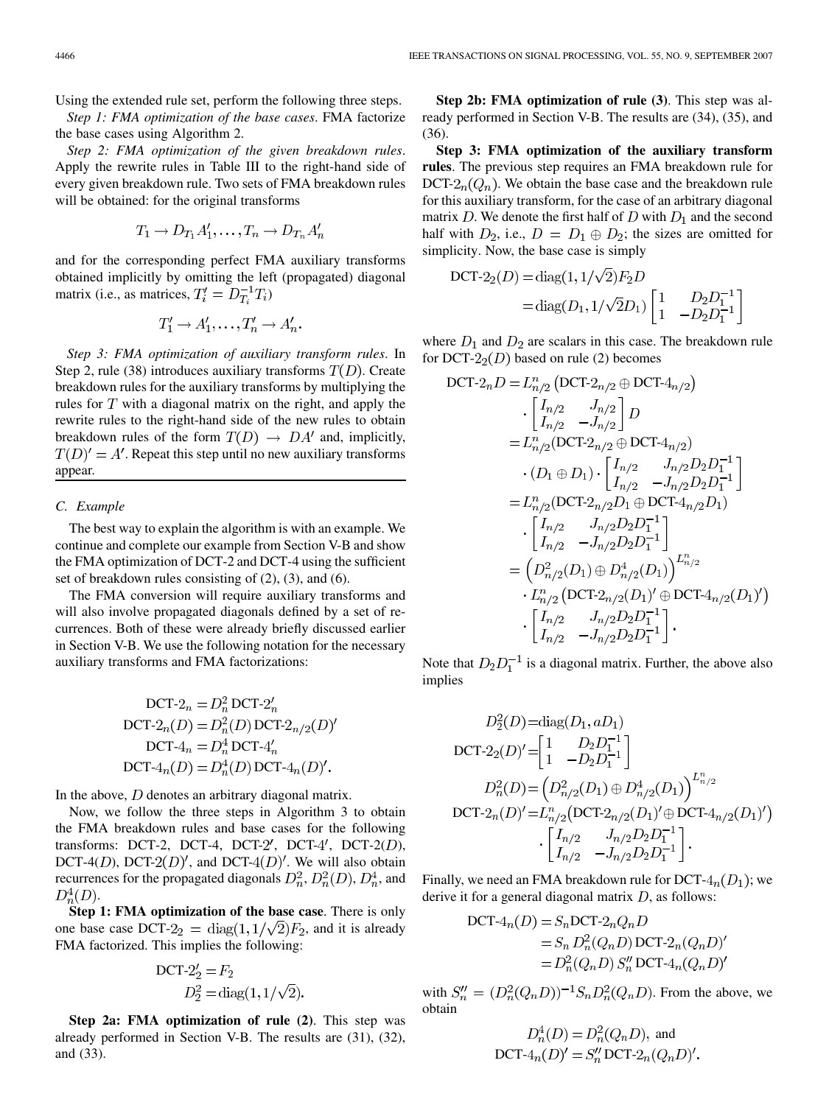Using the extended rule set, perform the following three steps.

*Step 1: FMA optimization of the base cases*. FMA factorize the base cases using Algorithm 2.

*Step 2: FMA optimization of the given breakdown rules*. Apply the rewrite rules in Table III to the right-hand side of every given breakdown rule. Two sets of FMA breakdown rules will be obtained: for the original transforms

$$
T_1 \to D_{T_1} A'_1, \ldots, T_n \to D_{T_n} A'_n
$$

and for the corresponding perfect FMA auxiliary transforms obtained implicitly by omitting the left (propagated) diagonal matrix (i.e., as matrices,  $T_i' = D_{T_i}^{-1} T_i$ )

$$
T'_1 \to A'_1, \ldots, T'_n \to A'_n.
$$

*Step 3: FMA optimization of auxiliary transform rules*. In Step 2, rule (38) introduces auxiliary transforms  $T(D)$ . Create breakdown rules for the auxiliary transforms by multiplying the rules for  $T$  with a diagonal matrix on the right, and apply the rewrite rules to the right-hand side of the new rules to obtain breakdown rules of the form  $T(D) \rightarrow DA'$  and, implicitly,  $T(D)' = A'$ . Repeat this step until no new auxiliary transforms appear.

# *C. Example*

The best way to explain the algorithm is with an example. We continue and complete our example from Section V-B and show the FMA optimization of DCT-2 and DCT-4 using the sufficient set of breakdown rules consisting of (2), (3), and (6).

The FMA conversion will require auxiliary transforms and will also involve propagated diagonals defined by a set of recurrences. Both of these were already briefly discussed earlier in Section V-B. We use the following notation for the necessary auxiliary transforms and FMA factorizations:

$$
DCT-2n = Dn2 DCT-2'n
$$
  
 
$$
DCT-2n(D) = Dn2(D) DCT-2n/2(D)'
$$
  
 
$$
DCT-4n = Dn4 DCT-4'n
$$
  
 
$$
DCT-4n(D) = Dn4(D) DCT-4n(D)'
$$

In the above,  $D$  denotes an arbitrary diagonal matrix.

Now, we follow the three steps in Algorithm 3 to obtain the FMA breakdown rules and base cases for the following transforms: DCT-2, DCT-4, DCT-2', DCT-4', DCT-2 $(D)$ , DCT-4(D), DCT-2(D)', and DCT-4(D)'. We will also obtain recurrences for the propagated diagonals  $D_n^2$ ,  $D_n^2(D)$ ,  $D_n^4$ , and  $D_n^4(D)$ .

**Step 1: FMA optimization of the base case**. There is only one base case DCT-2<sub>2</sub> = diag(1,  $1/\sqrt{2}F_2$ , and it is already FMA factorized. This implies the following:

$$
DCT-2'_2 = F_2
$$
  

$$
D_2^2 = \text{diag}(1, 1/\sqrt{2}).
$$

**Step 2a: FMA optimization of rule (2)**. This step was already performed in Section V-B. The results are (31), (32), and (33).

**Step 2b: FMA optimization of rule (3)**. This step was already performed in Section V-B. The results are (34), (35), and (36).

**Step 3: FMA optimization of the auxiliary transform rules**. The previous step requires an FMA breakdown rule for DCT- $2_n(Q_n)$ . We obtain the base case and the breakdown rule for this auxiliary transform, for the case of an arbitrary diagonal matrix D. We denote the first half of D with  $D_1$  and the second half with  $D_2$ , i.e.,  $D = D_1 \oplus D_2$ ; the sizes are omitted for simplicity. Now, the base case is simply

DCT-2<sub>2</sub>(D) = diag(1, 1/
$$
\sqrt{2}
$$
) $F_2D$   
= diag(D<sub>1</sub>, 1/ $\sqrt{2}$ D<sub>1</sub>)  $\begin{bmatrix} 1 & D_2D_1^{-1} \\ 1 & -D_2D_1^{-1} \end{bmatrix}$ 

where  $D_1$  and  $D_2$  are scalars in this case. The breakdown rule for DCT- $22(D)$  based on rule (2) becomes

$$
DCT-2nD = L_{n/2}^n (DCT-2n/2 \oplus DCT-4n/2)
$$
  
\n
$$
\cdot \begin{bmatrix} I_{n/2} & J_{n/2} \\ I_{n/2} & -J_{n/2} \end{bmatrix} D
$$
  
\n
$$
= L_{n/2}^n (DCT-2n/2 \oplus DCT-4n/2)
$$
  
\n
$$
\cdot (D_1 \oplus D_1) \cdot \begin{bmatrix} I_{n/2} & J_{n/2}D_2D_1^{-1} \\ I_{n/2} & -J_{n/2}D_2D_1^{-1} \end{bmatrix}
$$
  
\n
$$
= L_{n/2}^n (DCT-2n/2D_1 \oplus DCT-4n/2D_1)
$$
  
\n
$$
\cdot \begin{bmatrix} I_{n/2} & J_{n/2}D_2D_1^{-1} \\ I_{n/2} & -J_{n/2}D_2D_1^{-1} \end{bmatrix}
$$
  
\n
$$
= \left(D_{n/2}^2(D_1) \oplus D_{n/2}^4(D_1)\right)^{L_{n/2}^n}
$$
  
\n
$$
\cdot L_{n/2}^n (DCT-2n/2(D_1)' \oplus DCT-4n/2(D_1)')
$$
  
\n
$$
\cdot \begin{bmatrix} I_{n/2} & J_{n/2}D_2D_1^{-1} \\ I_{n/2} & -J_{n/2}D_2D_1^{-1} \end{bmatrix}.
$$

Note that  $D_2D_1^{-1}$  is a diagonal matrix. Further, the above also implies

$$
D_2^2(D) = \text{diag}(D_1, aD_1)
$$
  
DCT-2<sub>2</sub>(D)' =  $\begin{bmatrix} 1 & D_2D_1^{-1} \\ 1 & -D_2D_1^{-1} \end{bmatrix}$   

$$
D_n^2(D) = \left( D_{n/2}^2(D_1) \oplus D_{n/2}^4(D_1) \right)^{L_{n/2}^n}
$$
  
DCT-2<sub>n</sub>(D)' =  $L_{n/2}^n(\text{DCT-2}_{n/2}(D_1)^\prime \oplus \text{DCT-4}_{n/2}(D_1)^\prime)$   

$$
\cdot \left[ \begin{bmatrix} I_{n/2} & J_{n/2}D_2D_1^{-1} \\ I_{n/2} & -J_{n/2}D_2D_1^{-1} \end{bmatrix} \right].
$$

Finally, we need an FMA breakdown rule for DCT- $4<sub>n</sub>(D<sub>1</sub>)$ ; we derive it for a general diagonal matrix  $D$ , as follows:

$$
DCT-4n(D) = Sn DCT-2nQnD
$$
  
= S<sub>n</sub> D<sub>n</sub><sup>2</sup>(Q<sub>n</sub>D) DCT-2<sub>n</sub>(Q<sub>n</sub>D)<sup>'</sup>  
= D<sub>n</sub><sup>2</sup>(Q<sub>n</sub>D) S''<sub>n</sub> DCT-4<sub>n</sub>(Q<sub>n</sub>D)<sup>'</sup>

with  $S_n'' = (D_n^2(Q_n D))^{-1} S_n D_n^2(Q_n D)$ . From the above, we obtain

$$
D_n^4(D) = D_n^2(Q_n D),
$$
 and  
DCT-4<sub>n</sub>(D)' = S<sub>n</sub>° DCT-2<sub>n</sub>(Q<sub>n</sub>D)′.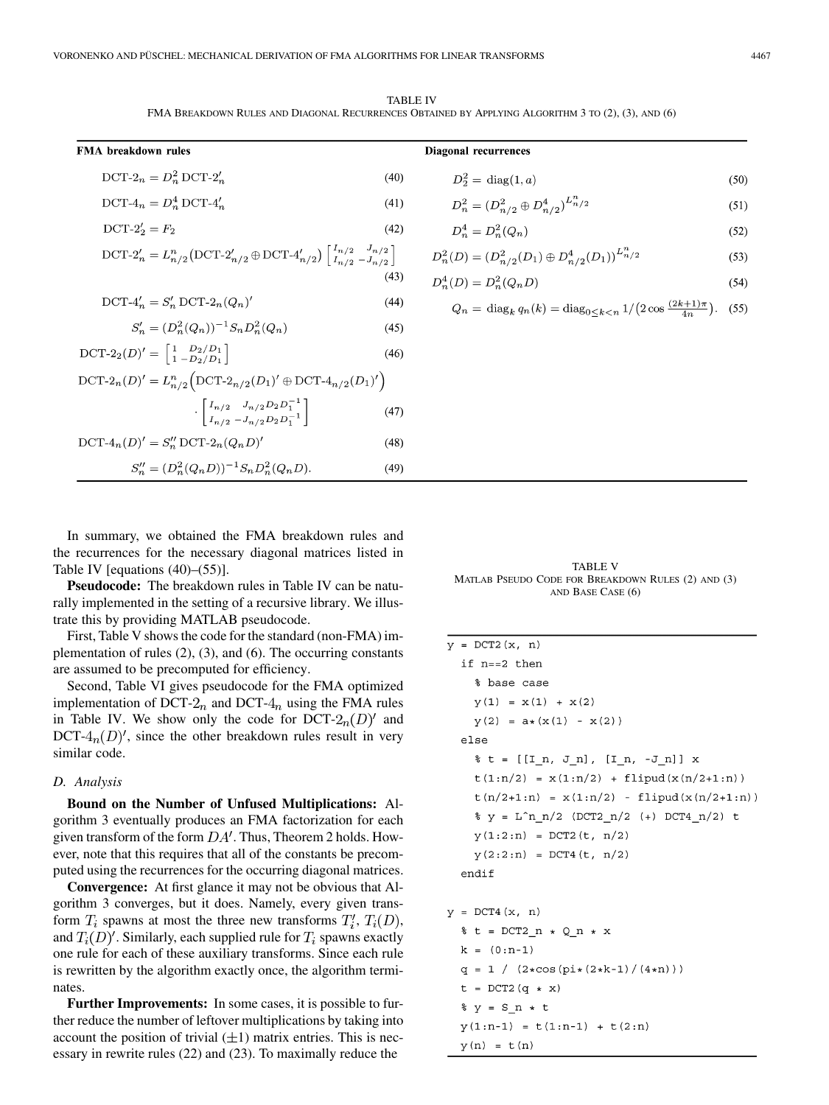TABLE IV FMA BREAKDOWN RULES AND DIAGONAL RECURRENCES OBTAINED BY APPLYING ALGORITHM 3 TO (2), (3), AND (6)

| FMA breakdown rules                                                                                                                                    |      |  |  |  |  |
|--------------------------------------------------------------------------------------------------------------------------------------------------------|------|--|--|--|--|
| $DCT-2_n = D_n^2 DCT-2_n'$                                                                                                                             | (40) |  |  |  |  |
| $DCT-4_n = D_n^4 DCT-4_n'$                                                                                                                             | (41) |  |  |  |  |
| $DCT-2'_{2} = F_{2}$                                                                                                                                   | (42) |  |  |  |  |
| DCT-2' <sub>n</sub> = $L_{n/2}^n(\text{DCT-2}'_{n/2} \oplus \text{DCT-4}'_{n/2})\begin{bmatrix} I_{n/2} & J_{n/2} \\ I_{n/2} & -J_{n/2} \end{bmatrix}$ |      |  |  |  |  |
|                                                                                                                                                        | (43) |  |  |  |  |
| $DCT-4'_{n} = S'_{n} DCT-2_{n}(Q_{n})'$                                                                                                                | (44) |  |  |  |  |
| $S'_n = (D_n^2(Q_n))^{-1} S_n D_n^2(Q_n)$                                                                                                              | (45) |  |  |  |  |
| $\text{DCT-2}_2(D)' = \begin{bmatrix} 1 & D_2/D_1 \\ 1 & -D_2/D_1 \end{bmatrix}$                                                                       | (46) |  |  |  |  |
| DCT-2 <sub>n</sub> (D)' = $L_{n/2}^n(DCT-2_{n/2}(D_1)'\oplus DCT-4_{n/2}(D_1)')$                                                                       |      |  |  |  |  |
| $\cdot \left[ \frac{I_{n/2} \quad J_{n/2} D_2 D_1^{-1}}{I_{n/2} - J_{n/2} D_2 D_1^{-1}} \right]$                                                       | (47) |  |  |  |  |
| $DCT-4_n(D)' = S''_n DCT-2_n(Q_nD)'$                                                                                                                   | (48) |  |  |  |  |
| $S''_n = (D_n^2(Q_n D))^{-1} S_n D_n^2(Q_n D).$                                                                                                        | (49) |  |  |  |  |

$$
D_2^2 = \text{diag}(1, a) \tag{50}
$$

$$
D_n^2 = (D_{n/2}^2 \oplus D_{n/2}^4)^{L_{n/2}^n} \tag{51}
$$

$$
D_n^4 = D_n^2(Q_n) \tag{52}
$$

$$
D_n^2(D) = (D_{n/2}^2(D_1) \oplus D_{n/2}^4(D_1))^{L_{n/2}^n}
$$
\n(53)

$$
D_n^4(D) = D_n^2(Q_n D)
$$
\n(54)

$$
Q_n = \text{diag}_k q_n(k) = \text{diag}_{0 \le k < n} \frac{1}{2 \cos \frac{(2k+1)\pi}{4n}}. \tag{55}
$$

In summary, we obtained the FMA breakdown rules and the recurrences for the necessary diagonal matrices listed in Table IV [equations (40)–(55)].

**Pseudocode:** The breakdown rules in Table IV can be naturally implemented in the setting of a recursive library. We illustrate this by providing MATLAB pseudocode.

First, Table V shows the code for the standard (non-FMA) implementation of rules (2), (3), and (6). The occurring constants are assumed to be precomputed for efficiency.

Second, Table VI gives pseudocode for the FMA optimized implementation of DCT- $2<sub>n</sub>$  and DCT- $4<sub>n</sub>$  using the FMA rules in Table IV. We show only the code for  $DCT-2<sub>n</sub>(D)'$  and DCT- $4<sub>n</sub>(D)'$ , since the other breakdown rules result in very similar code.

# *D. Analysis*

**Bound on the Number of Unfused Multiplications:** Algorithm 3 eventually produces an FMA factorization for each given transform of the form  $DA'$ . Thus, Theorem 2 holds. However, note that this requires that all of the constants be precomputed using the recurrences for the occurring diagonal matrices.

**Convergence:** At first glance it may not be obvious that Algorithm 3 converges, but it does. Namely, every given transform  $T_i$  spawns at most the three new transforms  $T_i', T_i(D)$ , and  $T_i(D)'$ . Similarly, each supplied rule for  $T_i$  spawns exactly one rule for each of these auxiliary transforms. Since each rule is rewritten by the algorithm exactly once, the algorithm terminates.

**Further Improvements:** In some cases, it is possible to further reduce the number of leftover multiplications by taking into account the position of trivial  $(\pm 1)$  matrix entries. This is necessary in rewrite rules (22) and (23). To maximally reduce the

TABLE V MATLAB PSEUDO CODE FOR BREAKDOWN RULES (2) AND (3) AND BASE CASE (6)

| $y = DCT2(x, n)$                                 |
|--------------------------------------------------|
| if n==2 then                                     |
| % base case                                      |
| $y(1) = x(1) + x(2)$                             |
| $y(2) = a*(x(1) - x(2))$                         |
| else                                             |
| % t = [[I n, J n], [I n, -J n]] x                |
| $t(1:n/2) = x(1:n/2) + flipud(x(n/2+1:n))$       |
| $t(n/2+1:n) = x(1:n/2) - flipud(x(n/2+1:n))$     |
| $\gamma = L^n n n/2$ (DCT2 n/2 (+) DCT4 n/2) t   |
| $y(1:2:n) = DCT2(t, n/2)$                        |
| $y(2:2:n) = DCT4(t, n/2)$                        |
| endif                                            |
|                                                  |
| $y = DCT4(x, n)$                                 |
| $t = DCT2 n * Q n * x$                           |
| $k = (0:n-1)$                                    |
| $q = 1 / (2 * cos(p i * (2 * k - 1) / (4 * n)))$ |
| $t = DCT2(q \cdot x)$                            |
| $y = S_n * t$                                    |
| $y(1:n-1) = t(1:n-1) + t(2:n)$                   |
| $y(n) = t(n)$                                    |
|                                                  |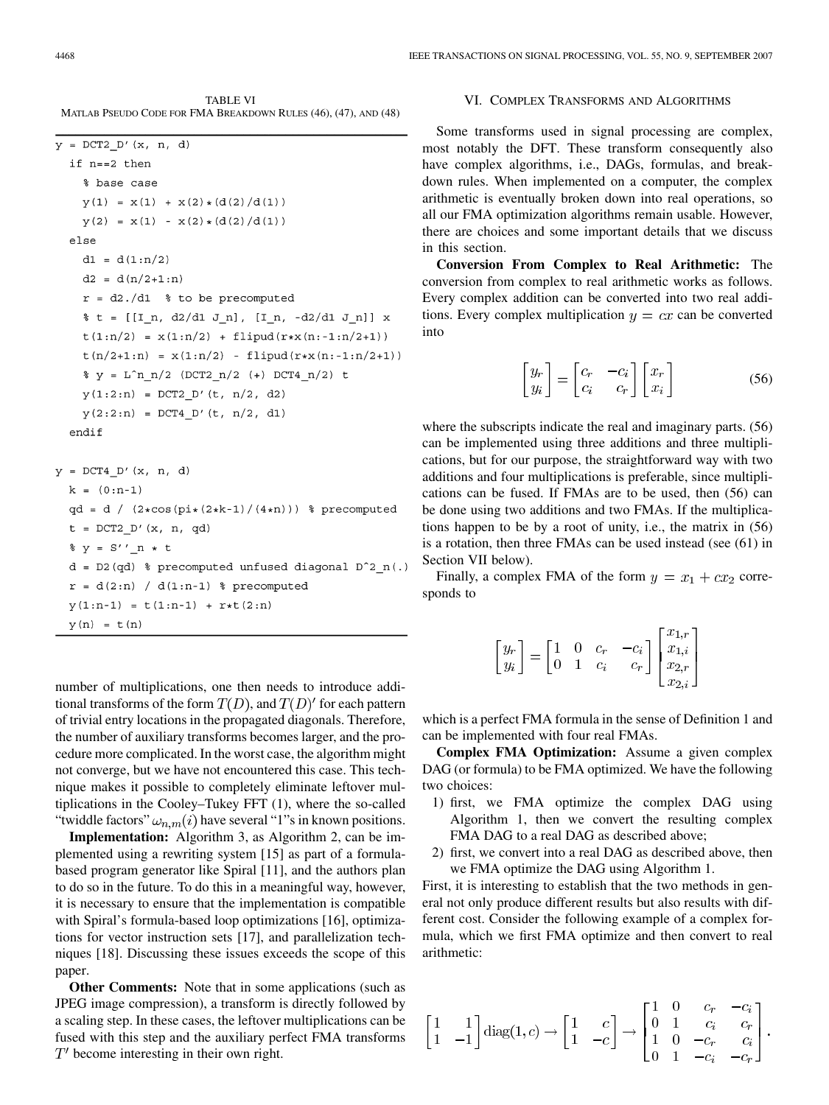TABLE VI MATLAB PSEUDO CODE FOR FMA BREAKDOWN RULES (46), (47), AND (48)

```
y = DCT2 D'(x, n, d)if n == 2 then
    % base case
    y(1) = x(1) + x(2) * (d(2) / d(1))y(2) = x(1) - x(2) * (d(2)/d(1))else
    d1 = d(1:n/2)d2 = d(n/2+1:n)r = d2./d1 % to be precomputed
    % t = [[I n, d2/d1 J n], [I n, -d2/d1 J n]] x
    t(1:n/2) = x(1:n/2) + \text{flipud}(r*x(n:-1:n/2+1))t(n/2+1:n) = x(1:n/2) - \text{flipud}(r*x(n:-1:n/2+1))\ y = L^n n_n/2 (DCT2n/2 (+) DCT4n/2) t
    y(1:2:n) = DCT2 D'(t, n/2, d2)y(2:2:n) = DCT4 D'(t, n/2, d1)endif
y = DCT4 D'(x, n, d)k = (0:n-1)qd = d / (2 * cos(p i * (2 * k - 1) / (4 * n))) ? precomputed
```

```
t = DCT2 D'(x, n, qd)y = S' n * t
d = D2 (qd) % precomputed unfused diagonal D^2 n(.)r = d(2:n) / d(1:n-1) & precomputed
y(1:n-1) = t(1:n-1) + r*t(2:n)y(n) = t(n)
```
number of multiplications, one then needs to introduce additional transforms of the form  $T(D)$ , and  $T(D)'$  for each pattern of trivial entry locations in the propagated diagonals. Therefore, the number of auxiliary transforms becomes larger, and the procedure more complicated. In the worst case, the algorithm might not converge, but we have not encountered this case. This technique makes it possible to completely eliminate leftover multiplications in the Cooley–Tukey FFT (1), where the so-called "twiddle factors"  $\omega_{n,m}(i)$  have several "1"s in known positions.

**Implementation:** Algorithm 3, as Algorithm 2, can be implemented using a rewriting system [15] as part of a formulabased program generator like Spiral [11], and the authors plan to do so in the future. To do this in a meaningful way, however, it is necessary to ensure that the implementation is compatible with Spiral's formula-based loop optimizations [16], optimizations for vector instruction sets [17], and parallelization techniques [18]. Discussing these issues exceeds the scope of this paper.

**Other Comments:** Note that in some applications (such as JPEG image compression), a transform is directly followed by a scaling step. In these cases, the leftover multiplications can be fused with this step and the auxiliary perfect FMA transforms  $T'$  become interesting in their own right.

# VI. COMPLEX TRANSFORMS AND ALGORITHMS

Some transforms used in signal processing are complex, most notably the DFT. These transform consequently also have complex algorithms, i.e., DAGs, formulas, and breakdown rules. When implemented on a computer, the complex arithmetic is eventually broken down into real operations, so all our FMA optimization algorithms remain usable. However, there are choices and some important details that we discuss in this section.

**Conversion From Complex to Real Arithmetic:** The conversion from complex to real arithmetic works as follows. Every complex addition can be converted into two real additions. Every complex multiplication  $y = cx$  can be converted into

$$
\begin{bmatrix} y_r \\ y_i \end{bmatrix} = \begin{bmatrix} c_r & -c_i \\ c_i & c_r \end{bmatrix} \begin{bmatrix} x_r \\ x_i \end{bmatrix}
$$
 (56)

where the subscripts indicate the real and imaginary parts. (56) can be implemented using three additions and three multiplications, but for our purpose, the straightforward way with two additions and four multiplications is preferable, since multiplications can be fused. If FMAs are to be used, then (56) can be done using two additions and two FMAs. If the multiplications happen to be by a root of unity, i.e., the matrix in (56) is a rotation, then three FMAs can be used instead (see (61) in Section VII below).

Finally, a complex FMA of the form  $y = x_1 + cx_2$  corresponds to

$$
\begin{bmatrix} y_r \\ y_i \end{bmatrix} = \begin{bmatrix} 1 & 0 & c_r & -c_i \\ 0 & 1 & c_i & c_r \end{bmatrix} \begin{bmatrix} x_{1,r} \\ x_{1,i} \\ x_{2,r} \\ x_{2,i} \end{bmatrix}
$$

which is a perfect FMA formula in the sense of Definition 1 and can be implemented with four real FMAs.

**Complex FMA Optimization:** Assume a given complex DAG (or formula) to be FMA optimized. We have the following two choices:

- 1) first, we FMA optimize the complex DAG using Algorithm 1, then we convert the resulting complex FMA DAG to a real DAG as described above;
- 2) first, we convert into a real DAG as described above, then we FMA optimize the DAG using Algorithm 1.

First, it is interesting to establish that the two methods in general not only produce different results but also results with different cost. Consider the following example of a complex formula, which we first FMA optimize and then convert to real arithmetic:

$$
\begin{bmatrix} 1 & 1 \\ 1 & -1 \end{bmatrix} \text{diag}(1, c) \rightarrow \begin{bmatrix} 1 & c \\ 1 & -c \end{bmatrix} \rightarrow \begin{bmatrix} 1 & 0 & c_r & -c_i \\ 0 & 1 & c_i & c_r \\ 1 & 0 & -c_r & c_i \\ 0 & 1 & -c_i & -c_r \end{bmatrix}.
$$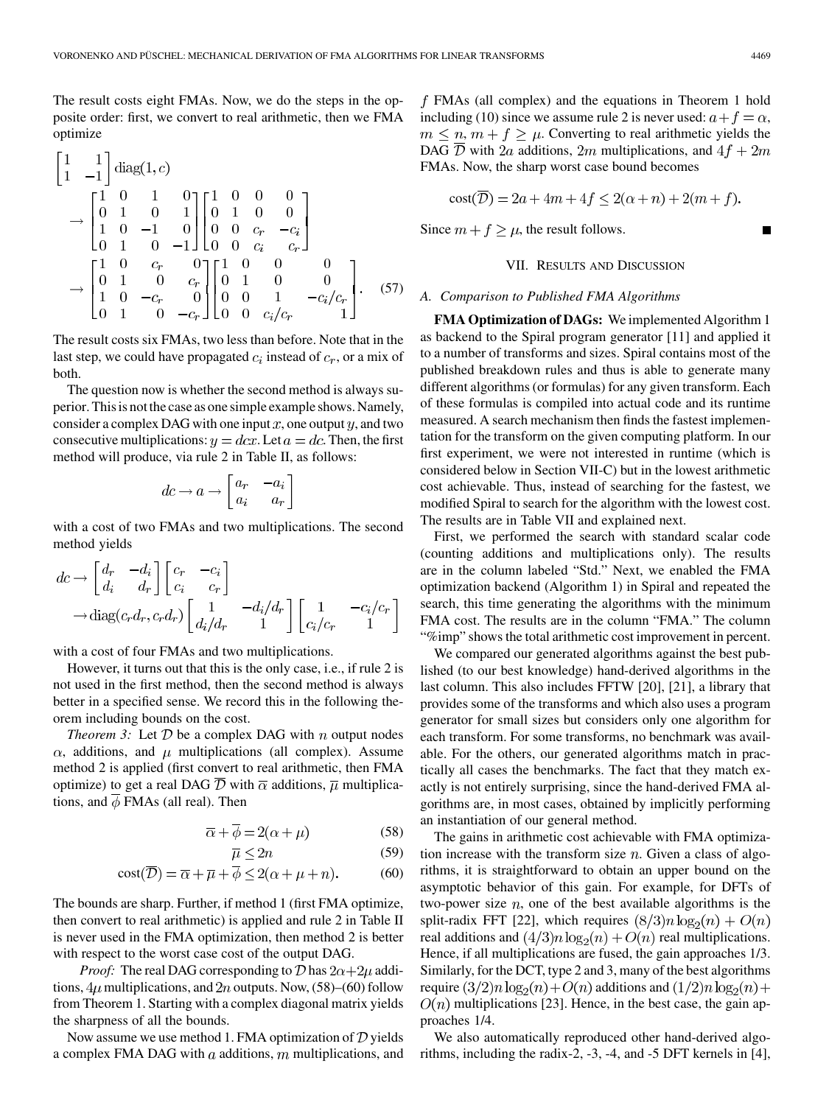The result costs eight FMAs. Now, we do the steps in the opposite order: first, we convert to real arithmetic, then we FMA optimize

$$
\begin{bmatrix} 1 & 1 \ 1 & -1 \end{bmatrix} diag(1, c)
$$
  
\n
$$
\rightarrow \begin{bmatrix} 1 & 0 & 1 & 0 \ 0 & 1 & 0 & 1 \ 1 & 0 & -1 & 0 \ 0 & 1 & 0 & -1 \end{bmatrix} \begin{bmatrix} 1 & 0 & 0 & 0 \ 0 & 1 & 0 & 0 \ 0 & 0 & c_r & -c_i \ 0 & 0 & 0 & c_i & c_r \end{bmatrix}
$$
  
\n
$$
\rightarrow \begin{bmatrix} 1 & 0 & c_r & 0 \ 0 & 1 & 0 & c_r \ 1 & 0 & -c_r & 0 \ 0 & 1 & 0 & -c_r \end{bmatrix} \begin{bmatrix} 1 & 0 & 0 & 0 \ 0 & 1 & 0 & 0 \ 0 & 0 & 1 & -c_i/c_r \ 0 & 0 & c_i/c_r & 1 \end{bmatrix}.
$$
 (57)

The result costs six FMAs, two less than before. Note that in the last step, we could have propagated  $c_i$  instead of  $c_r$ , or a mix of both.

The question now is whether the second method is always superior. This is not the case as one simple example shows. Namely, consider a complex DAG with one input  $x$ , one output  $y$ , and two consecutive multiplications:  $y = dx$ . Let  $a = dc$ . Then, the first method will produce, via rule 2 in Table II, as follows:

$$
dc \to a \to \begin{bmatrix} a_r & -a_i \\ a_i & a_r \end{bmatrix}
$$

with a cost of two FMAs and two multiplications. The second method yields

$$
dc \rightarrow \begin{bmatrix} d_r & -d_i \\ d_i & d_r \end{bmatrix} \begin{bmatrix} c_r & -c_i \\ c_i & c_r \end{bmatrix}
$$

$$
\rightarrow \text{diag}(c_r d_r, c_r d_r) \begin{bmatrix} 1 & -d_i/d_r \\ d_i/d_r & 1 \end{bmatrix} \begin{bmatrix} 1 & -c_i/c_r \\ c_i/c_r & 1 \end{bmatrix}
$$

with a cost of four FMAs and two multiplications.

However, it turns out that this is the only case, i.e., if rule 2 is not used in the first method, then the second method is always better in a specified sense. We record this in the following theorem including bounds on the cost.

*Theorem 3:* Let  $D$  be a complex DAG with  $n$  output nodes  $\alpha$ , additions, and  $\mu$  multiplications (all complex). Assume method 2 is applied (first convert to real arithmetic, then FMA optimize) to get a real DAG  $\overline{D}$  with  $\overline{\alpha}$  additions,  $\overline{\mu}$  multiplications, and  $\phi$  FMAs (all real). Then

$$
\overline{\alpha} + \overline{\phi} = 2(\alpha + \mu) \tag{58}
$$

$$
\overline{\mu} \le 2n \tag{59}
$$

$$
cost(\overline{\mathcal{D}}) = \overline{\alpha} + \overline{\mu} + \overline{\phi} \le 2(\alpha + \mu + n). \tag{60}
$$

The bounds are sharp. Further, if method 1 (first FMA optimize, then convert to real arithmetic) is applied and rule 2 in Table II is never used in the FMA optimization, then method 2 is better with respect to the worst case cost of the output DAG.

*Proof:* The real DAG corresponding to  $\mathcal{D}$  has  $2\alpha + 2\mu$  additions,  $4\mu$  multiplications, and  $2n$  outputs. Now, (58)–(60) follow from Theorem 1. Starting with a complex diagonal matrix yields the sharpness of all the bounds.

Now assume we use method 1. FMA optimization of  $D$  yields a complex FMA DAG with  $a$  additions,  $m$  multiplications, and

 $f$  FMAs (all complex) and the equations in Theorem 1 hold including (10) since we assume rule 2 is never used:  $a + f = \alpha$ ,  $m \leq n$ ,  $m + f \geq \mu$ . Converting to real arithmetic yields the DAG  $\overline{D}$  with 2*a* additions, 2*m* multiplications, and 4*f* + 2*m* FMAs. Now, the sharp worst case bound becomes

$$
cost(\overline{\mathcal{D}}) = 2a + 4m + 4f \le 2(\alpha + n) + 2(m + f).
$$

Since  $m + f \ge \mu$ , the result follows.

#### VII. RESULTS AND DISCUSSION

#### *A. Comparison to Published FMA Algorithms*

**FMA Optimization of DAGs:** We implemented Algorithm 1 as backend to the Spiral program generator [11] and applied it to a number of transforms and sizes. Spiral contains most of the published breakdown rules and thus is able to generate many different algorithms (or formulas) for any given transform. Each of these formulas is compiled into actual code and its runtime measured. A search mechanism then finds the fastest implementation for the transform on the given computing platform. In our first experiment, we were not interested in runtime (which is considered below in Section VII-C) but in the lowest arithmetic cost achievable. Thus, instead of searching for the fastest, we modified Spiral to search for the algorithm with the lowest cost. The results are in Table VII and explained next.

First, we performed the search with standard scalar code (counting additions and multiplications only). The results are in the column labeled "Std." Next, we enabled the FMA optimization backend (Algorithm 1) in Spiral and repeated the search, this time generating the algorithms with the minimum FMA cost. The results are in the column "FMA." The column "%imp" shows the total arithmetic cost improvement in percent.

We compared our generated algorithms against the best published (to our best knowledge) hand-derived algorithms in the last column. This also includes FFTW [20], [21], a library that provides some of the transforms and which also uses a program generator for small sizes but considers only one algorithm for each transform. For some transforms, no benchmark was available. For the others, our generated algorithms match in practically all cases the benchmarks. The fact that they match exactly is not entirely surprising, since the hand-derived FMA algorithms are, in most cases, obtained by implicitly performing an instantiation of our general method.

The gains in arithmetic cost achievable with FMA optimization increase with the transform size  $n$ . Given a class of algorithms, it is straightforward to obtain an upper bound on the asymptotic behavior of this gain. For example, for DFTs of two-power size  $n$ , one of the best available algorithms is the split-radix FFT [22], which requires  $(8/3)n \log_2(n) + O(n)$ real additions and  $\left(\frac{4}{3}\right)n \log_2(n) + O(n)$  real multiplications. Hence, if all multiplications are fused, the gain approaches 1/3. Similarly, for the DCT, type 2 and 3, many of the best algorithms require  $\left(\frac{3}{2}\right)n\log_2(n)+O(n)$  additions and  $\left(\frac{1}{2}\right)n\log_2(n)+O(n)$  $O(n)$  multiplications [23]. Hence, in the best case, the gain approaches 1/4.

We also automatically reproduced other hand-derived algorithms, including the radix-2, -3, -4, and -5 DFT kernels in [4],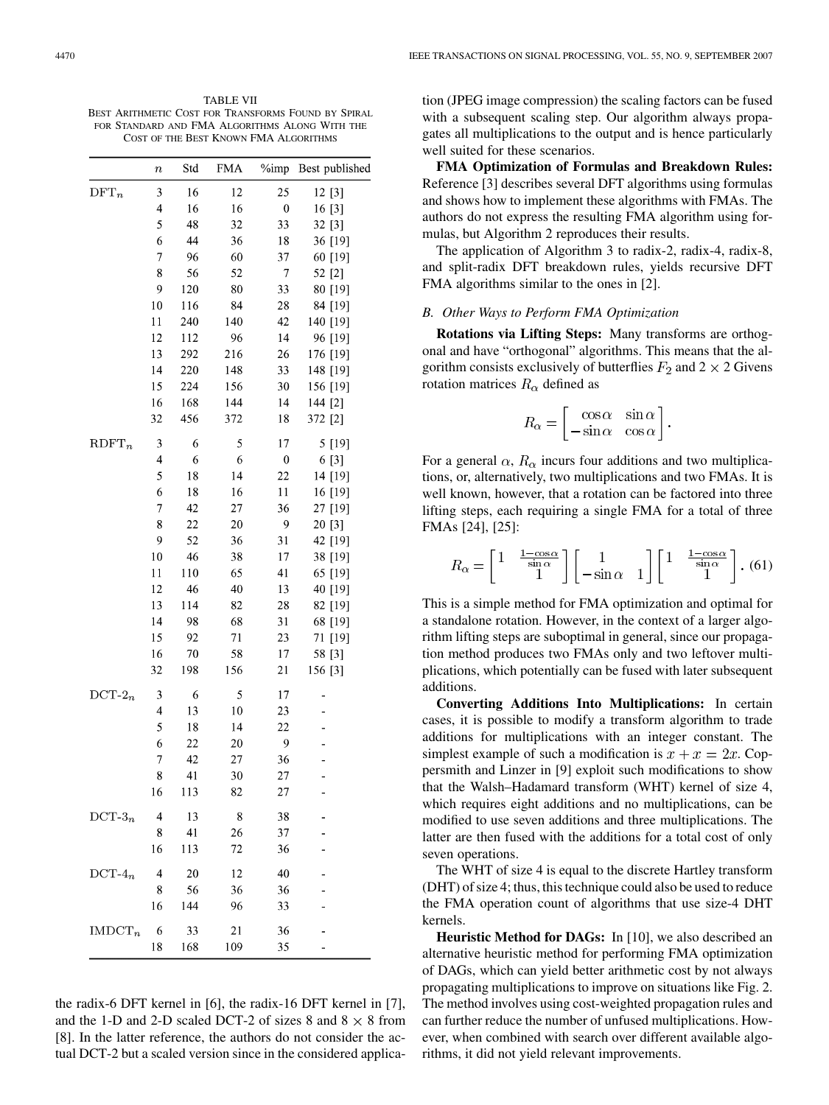TABLE VII BEST ARITHMETIC COST FOR TRANSFORMS FOUND BY SPIRAL FOR STANDARD AND FMA ALGORITHMS ALONG WITH THE COST OF THE BEST KNOWN FMA ALGORITHMS

|                | $\boldsymbol{n}$         | Std | <b>FMA</b> | %imp             | Best published |
|----------------|--------------------------|-----|------------|------------------|----------------|
| $\text{DFT}_n$ | 3                        | 16  | 12         | 25               | 12 [3]         |
|                | 4                        | 16  | 16         | $\boldsymbol{0}$ | 16 [3]         |
|                | 5                        | 48  | 32         | 33               | 32 [3]         |
|                | 6                        | 44  | 36         | 18               | 36 [19]        |
|                | 7                        | 96  | 60         | 37               | 60 [19]        |
|                | 8                        | 56  | 52         | 7                | 52 [2]         |
|                | 9                        | 120 | 80         | 33               | 80 [19]        |
|                | 10                       | 116 | 84         | 28               | 84 [19]        |
|                | 11                       | 240 | 140        | 42               | 140 [19]       |
|                | 12                       | 112 | 96         | 14               | 96 [19]        |
|                | 13                       | 292 | 216        | 26               | 176 [19]       |
|                | 14                       | 220 | 148        | 33               | 148 [19]       |
|                | 15                       | 224 | 156        | 30               | 156 [19]       |
|                | 16                       | 168 | 144        | 14               | 144 [2]        |
|                | 32                       | 456 | 372        | 18               | 372 [2]        |
| $R$ DFT $_n$   | 3                        | 6   | 5          | 17               | 5 [19]         |
|                | $\overline{\mathcal{L}}$ | 6   | 6          | $\boldsymbol{0}$ | 6 [3]          |
|                | 5                        | 18  | 14         | 22               | 14 [19]        |
|                | 6                        | 18  | 16         | 11               | 16 [19]        |
|                | 7                        | 42  | 27         | 36               | 27 [19]        |
|                | 8                        | 22  | 20         | 9                | 20 [3]         |
|                | 9                        | 52  | 36         | 31               | 42 [19]        |
|                | 10                       | 46  | 38         | 17               | 38 [19]        |
|                | 11                       | 110 | 65         | 41               | 65 [19]        |
|                | 12                       | 46  | 40         | 13               | 40 [19]        |
|                | 13                       | 114 | 82         | 28               | 82 [19]        |
|                | 14                       | 98  | 68         | 31               | 68 [19]        |
|                | 15                       | 92  | 71         | 23               | 71 [19]        |
|                | 16                       | 70  | 58         | 17               | 58 [3]         |
|                | 32                       | 198 | 156        | 21               | 156 [3]        |
| $DCT-2_n$      | 3                        | 6   | 5          | 17               |                |
|                | 4                        | 13  | 10         | 23               |                |
|                | 5                        | 18  | 14         | 22               |                |
|                | 6                        | 22  | 20         | 9                |                |
|                | 7                        | 42  | 27         | 36               |                |
|                | 8                        | 41  | 30         | 27               | -              |
|                | 16                       | 113 | 82         | 27               |                |
| $DCT-3n$       | $\overline{4}$           | 13  | 8          | 38               |                |
|                | 8                        | 41  | 26         | 37               |                |
|                | 16                       | 113 | 72         | 36               |                |
| $DCT-4n$       | 4                        | 20  | 12         | 40               |                |
|                | 8                        | 56  | 36         | 36               |                |
|                | 16                       | 144 | 96         | 33               |                |
| $IMDCT_n$      | 6                        | 33  | 21         | 36               |                |
|                | 18                       | 168 | 109        | 35               |                |

the radix-6 DFT kernel in [6], the radix-16 DFT kernel in [7], and the 1-D and 2-D scaled DCT-2 of sizes 8 and  $8 \times 8$  from [8]. In the latter reference, the authors do not consider the actual DCT-2 but a scaled version since in the considered applica-

tion (JPEG image compression) the scaling factors can be fused with a subsequent scaling step. Our algorithm always propagates all multiplications to the output and is hence particularly well suited for these scenarios.

**FMA Optimization of Formulas and Breakdown Rules:** Reference [3] describes several DFT algorithms using formulas and shows how to implement these algorithms with FMAs. The authors do not express the resulting FMA algorithm using formulas, but Algorithm 2 reproduces their results.

The application of Algorithm 3 to radix-2, radix-4, radix-8, and split-radix DFT breakdown rules, yields recursive DFT FMA algorithms similar to the ones in [2].

# *B. Other Ways to Perform FMA Optimization*

**Rotations via Lifting Steps:** Many transforms are orthogonal and have "orthogonal" algorithms. This means that the algorithm consists exclusively of butterflies  $F_2$  and 2  $\times$  2 Givens rotation matrices  $R_{\alpha}$  defined as

$$
R_{\alpha} = \begin{bmatrix} \cos \alpha & \sin \alpha \\ -\sin \alpha & \cos \alpha \end{bmatrix}.
$$

For a general  $\alpha$ ,  $R_{\alpha}$  incurs four additions and two multiplications, or, alternatively, two multiplications and two FMAs. It is well known, however, that a rotation can be factored into three lifting steps, each requiring a single FMA for a total of three FMAs [24], [25]:

$$
R_{\alpha} = \begin{bmatrix} 1 & \frac{1-\cos\alpha}{\sin\alpha} \\ 1 & 1 \end{bmatrix} \begin{bmatrix} 1 & 1 \\ -\sin\alpha & 1 \end{bmatrix} \begin{bmatrix} 1 & \frac{1-\cos\alpha}{\sin\alpha} \\ 1 & 1 \end{bmatrix} . (61)
$$

This is a simple method for FMA optimization and optimal for a standalone rotation. However, in the context of a larger algorithm lifting steps are suboptimal in general, since our propagation method produces two FMAs only and two leftover multiplications, which potentially can be fused with later subsequent additions.

**Converting Additions Into Multiplications:** In certain cases, it is possible to modify a transform algorithm to trade additions for multiplications with an integer constant. The simplest example of such a modification is  $x + x = 2x$ . Coppersmith and Linzer in [9] exploit such modifications to show that the Walsh–Hadamard transform (WHT) kernel of size 4, which requires eight additions and no multiplications, can be modified to use seven additions and three multiplications. The latter are then fused with the additions for a total cost of only seven operations.

The WHT of size 4 is equal to the discrete Hartley transform (DHT) of size 4; thus, this technique could also be used to reduce the FMA operation count of algorithms that use size-4 DHT kernels.

**Heuristic Method for DAGs:** In [10], we also described an alternative heuristic method for performing FMA optimization of DAGs, which can yield better arithmetic cost by not always propagating multiplications to improve on situations like Fig. 2. The method involves using cost-weighted propagation rules and can further reduce the number of unfused multiplications. However, when combined with search over different available algorithms, it did not yield relevant improvements.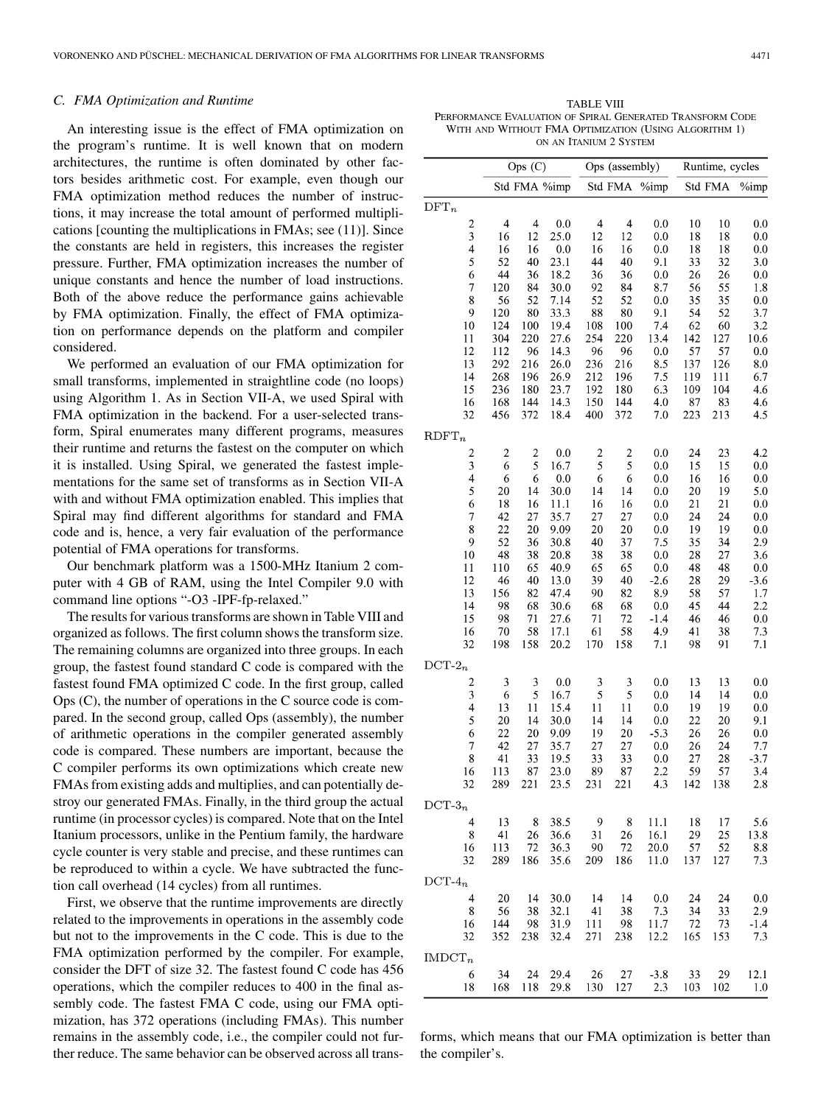# *C. FMA Optimization and Runtime*

An interesting issue is the effect of FMA optimization on the program's runtime. It is well known that on modern architectures, the runtime is often dominated by other factors besides arithmetic cost. For example, even though our FMA optimization method reduces the number of instructions, it may increase the total amount of performed multiplications [counting the multiplications in FMAs; see (11)]. Since the constants are held in registers, this increases the register pressure. Further, FMA optimization increases the number of unique constants and hence the number of load instructions. Both of the above reduce the performance gains achievable by FMA optimization. Finally, the effect of FMA optimization on performance depends on the platform and compiler considered.

We performed an evaluation of our FMA optimization for small transforms, implemented in straightline code (no loops) using Algorithm 1. As in Section VII-A, we used Spiral with FMA optimization in the backend. For a user-selected transform, Spiral enumerates many different programs, measures their runtime and returns the fastest on the computer on which it is installed. Using Spiral, we generated the fastest implementations for the same set of transforms as in Section VII-A with and without FMA optimization enabled. This implies that Spiral may find different algorithms for standard and FMA code and is, hence, a very fair evaluation of the performance potential of FMA operations for transforms.

Our benchmark platform was a 1500-MHz Itanium 2 computer with 4 GB of RAM, using the Intel Compiler 9.0 with command line options "-O3 -IPF-fp-relaxed."

The results for various transforms are shown in Table VIII and organized as follows. The first column shows the transform size. The remaining columns are organized into three groups. In each group, the fastest found standard C code is compared with the fastest found FMA optimized C code. In the first group, called Ops (C), the number of operations in the C source code is compared. In the second group, called Ops (assembly), the number of arithmetic operations in the compiler generated assembly code is compared. These numbers are important, because the C compiler performs its own optimizations which create new FMAs from existing adds and multiplies, and can potentially destroy our generated FMAs. Finally, in the third group the actual runtime (in processor cycles) is compared. Note that on the Intel Itanium processors, unlike in the Pentium family, the hardware cycle counter is very stable and precise, and these runtimes can be reproduced to within a cycle. We have subtracted the function call overhead (14 cycles) from all runtimes.

First, we observe that the runtime improvements are directly related to the improvements in operations in the assembly code but not to the improvements in the C code. This is due to the FMA optimization performed by the compiler. For example, consider the DFT of size 32. The fastest found C code has 456 operations, which the compiler reduces to 400 in the final assembly code. The fastest FMA C code, using our FMA optimization, has 372 operations (including FMAs). This number remains in the assembly code, i.e., the compiler could not further reduce. The same behavior can be observed across all trans-

TABLE VIII PERFORMANCE EVALUATION OF SPIRAL GENERATED TRANSFORM CODE WITH AND WITHOUT FMA OPTIMIZATION (USING ALGORITHM 1) ON AN ITANIUM 2 SYSTEM

|                                                    |                         | Ops (C)                  | Ops (assembly) |                          |                         | Runtime, cycles |            |            |               |
|----------------------------------------------------|-------------------------|--------------------------|----------------|--------------------------|-------------------------|-----------------|------------|------------|---------------|
|                                                    |                         | Std FMA %imp             |                |                          | Std FMA                 | %imp            |            | Std FMA    | %imp          |
| $DFT_n$                                            |                         |                          |                |                          |                         |                 |            |            |               |
| $\boldsymbol{2}$                                   | 4                       | $\overline{\mathcal{L}}$ | 0.0            | $\overline{\mathcal{A}}$ | $\overline{\mathbf{4}}$ | 0.0             | 10         | 10         | 0.0           |
| $\overline{\mathbf{3}}$<br>$\overline{\mathbf{4}}$ | 16<br>16                | 12<br>16                 | 25.0<br>0.0    | 12<br>16                 | 12<br>16                | 0.0<br>0.0      | 18<br>18   | 18<br>18   | 0.0<br>0.0    |
| 5                                                  | 52                      | 40                       | 23.1           | 44                       | 40                      | 9.1             | 33         | 32         | 3.0           |
| 6                                                  | 44                      | 36                       | 18.2           | 36                       | 36                      | 0.0             | 26         | 26         | 0.0           |
| $\overline{7}$                                     | 120                     | 84                       | 30.0           | 92                       | 84                      | 8.7             | 56         | 55         | 1.8           |
| 8<br>9                                             | 56<br>120               | 52<br>80                 | 7.14<br>33.3   | 52<br>88                 | 52<br>80                | 0.0<br>9.1      | 35<br>54   | 35<br>52   | 0.0<br>3.7    |
| 10                                                 | 124                     | 100                      | 19.4           | 108                      | 100                     | 7.4             | 62         | 60         | 3.2           |
| 11                                                 | 304                     | 220                      | 27.6           | 254                      | 220                     | 13.4            | 142        | 127        | 10.6          |
| 12                                                 | 112                     | 96                       | 14.3           | 96                       | 96                      | 0.0             | 57         | 57         | 0.0           |
| 13                                                 | 292                     | 216<br>196               | 26.0           | 236                      | 216                     | 8.5             | 137<br>119 | 126<br>111 | 8.0<br>6.7    |
| 14<br>15                                           | 268<br>236              | 180                      | 26.9<br>23.7   | 212<br>192               | 196<br>180              | 7.5<br>6.3      | 109        | 104        | 4.6           |
| 16                                                 | 168                     | 144                      | 14.3           | 150                      | 144                     | 4.0             | 87         | 83         | 4.6           |
| 32                                                 | 456                     | 372                      | 18.4           | 400                      | 372                     | 7.0             | 223        | 213        | 4.5           |
| $R$ DFT $_n$                                       |                         |                          |                |                          |                         |                 |            |            |               |
|                                                    | $\overline{\mathbf{c}}$ | $\overline{\mathbf{c}}$  | 0.0            | $\overline{\mathbf{c}}$  | $\overline{\mathbf{c}}$ | 0.0             | 24         | 23         | 4.2           |
| $\frac{2}{3}$                                      | 6                       | 5                        | 16.7           | 5                        | 5                       | 0.0             | 15         | 15         | 0.0           |
| $\overline{4}$                                     | 6                       | 6                        | 0.0            | 6                        | 6                       | 0.0             | 16         | 16         | 0.0           |
| 5                                                  | 20                      | 14                       | 30.0           | 14                       | 14                      | 0.0             | 20         | 19         | 5.0           |
| 6<br>$\overline{7}$                                | 18<br>42                | 16<br>27                 | 11.1<br>35.7   | 16<br>27                 | 16<br>27                | 0.0<br>0.0      | 21<br>24   | 21<br>24   | 0.0<br>0.0    |
| 8                                                  | 22                      | 20                       | 9.09           | 20                       | 20                      | 0.0             | 19         | 19         | 0.0           |
| 9                                                  | 52                      | 36                       | 30.8           | 40                       | 37                      | 7.5             | 35         | 34         | 2.9           |
| 10                                                 | 48                      | 38                       | 20.8           | 38                       | 38                      | 0.0             | 28         | 27         | 3.6           |
| 11                                                 | 110                     | 65                       | 40.9           | 65                       | 65                      | 0.0             | 48         | 48         | 0.0           |
| 12<br>13                                           | 46<br>156               | 40<br>82                 | 13.0<br>47.4   | 39<br>90                 | 40<br>82                | $-2.6$<br>8.9   | 28<br>58   | 29<br>57   | $-3.6$<br>1.7 |
| 14                                                 | 98                      | 68                       | 30.6           | 68                       | 68                      | 0.0             | 45         | 44         | 2.2           |
| 15                                                 | 98                      | 71                       | 27.6           | 71                       | 72                      | $-1.4$          | 46         | 46         | 0.0           |
| 16                                                 | 70                      | 58                       | 17.1           | 61                       | 58                      | 4.9             | 41         | 38         | 7.3           |
| 32                                                 | 198                     | 158                      | 20.2           | 170                      | 158                     | 7.1             | 98         | 91         | 7.1           |
| $DCT-2n$                                           |                         |                          |                |                          |                         |                 |            |            |               |
|                                                    | 3                       | 3                        | 0.0            | 3                        | 3                       | 0.0             | 13         | 13         | 0.0           |
| $\frac{2}{3}$                                      | 6                       | 5                        | 16.7           | 5                        | 5                       | 0.0             | 14         | 14         | $_{0.0}$      |
| $\overline{\mathcal{A}}$                           | 13                      | 11                       | 15.4           | 11                       | 11                      | 0.0             | 19         | 19         | 0.0           |
| 5<br>6                                             | 20<br>22                | 14<br>20                 | 30.0<br>9.09   | 14<br>19                 | 14<br>20                | 0.0<br>$-5.3$   | 22<br>26   | 20<br>26   | 9.1<br>0.0    |
| 7                                                  | 42                      | 27                       | 35.7           | 27                       | 27                      | 0.0             | 26         | 24         | 7.7           |
| 8                                                  | 41                      | 33                       | 19.5           | 33                       | 33                      | 0.0             | 27         | 28         | $-3.7$        |
| 16                                                 | 113                     | 87                       | 23.0           | 89                       | 87                      | 2.2             | 59         | 57         | 3.4           |
| 32                                                 | 289                     | 221                      | 23.5           | 231                      | 221                     | 4.3             | 142        | 138        | 2.8           |
| $DCT-3n$                                           |                         |                          |                |                          |                         |                 |            |            |               |
| 4                                                  | 13                      | - 8                      | 38.5           | - 9                      | - 8                     | 11.1            | 18         | 17         | 5.6           |
| 8                                                  | 41                      | 26                       | 36.6           | 31                       | 26                      | 16.1            | 29         | 25         | 13.8          |
| 16<br>32                                           | 113<br>289              | 72<br>186                | 36.3<br>35.6   | 90<br>209                | 72<br>186               | 20.0<br>11.0    | 57<br>137  | 52<br>127  | 8.8<br>7.3    |
|                                                    |                         |                          |                |                          |                         |                 |            |            |               |
| $DCT-4n$                                           |                         |                          |                |                          |                         |                 |            |            |               |
| 4<br>8                                             | 20<br>56                | 14<br>38                 | 30.0<br>32.1   | 14<br>41                 | 14<br>38                | $0.0\,$<br>7.3  | 24<br>34   | 24<br>33   | 0.0<br>2.9    |
| 16                                                 | 144                     | 98                       | 31.9           | 111                      | 98                      | 11.7            | 72         | 73         | $-1.4$        |
| 32                                                 | 352                     | 238                      | 32.4           | 271                      | 238                     | 12.2            | 165        | 153        | 7.3           |
| $IMDCT_n$                                          |                         |                          |                |                          |                         |                 |            |            |               |
| 6                                                  | 34                      | 24                       | 29.4           | 26                       | 27                      | $-3.8$          | 33         | 29         | 12.1          |
| 18                                                 | 168                     | 118                      | 29.8           | 130                      | 127                     | 2.3             | 103        | 102        | 1.0           |

forms, which means that our FMA optimization is better than the compiler's.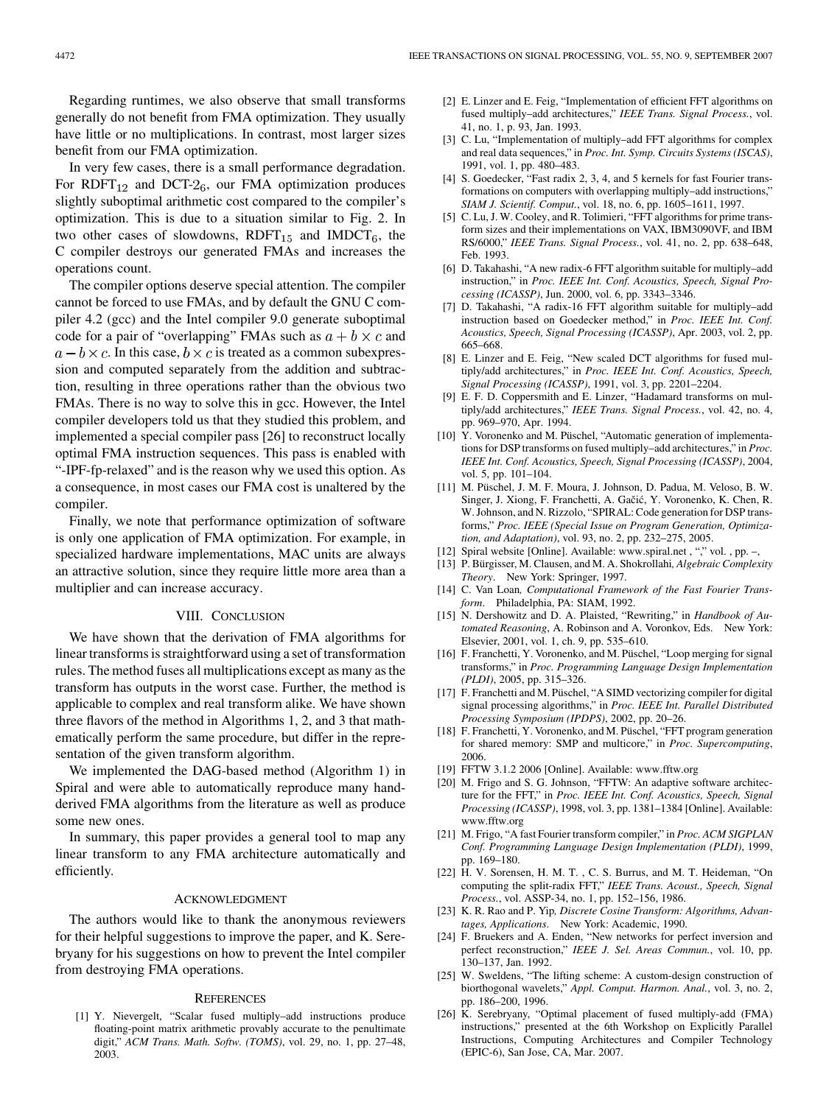Regarding runtimes, we also observe that small transforms generally do not benefit from FMA optimization. They usually have little or no multiplications. In contrast, most larger sizes benefit from our FMA optimization.

In very few cases, there is a small performance degradation. For RDFT $_{12}$  and DCT- $2_6$ , our FMA optimization produces slightly suboptimal arithmetic cost compared to the compiler's optimization. This is due to a situation similar to Fig. 2. In two other cases of slowdowns,  $R\text{DFT}_{15}$  and  $IMDCT_6$ , the C compiler destroys our generated FMAs and increases the operations count.

The compiler options deserve special attention. The compiler cannot be forced to use FMAs, and by default the GNU C compiler 4.2 (gcc) and the Intel compiler 9.0 generate suboptimal code for a pair of "overlapping" FMAs such as  $a + b \times c$  and  $a - b \times c$ . In this case,  $b \times c$  is treated as a common subexpression and computed separately from the addition and subtraction, resulting in three operations rather than the obvious two FMAs. There is no way to solve this in gcc. However, the Intel compiler developers told us that they studied this problem, and implemented a special compiler pass [26] to reconstruct locally optimal FMA instruction sequences. This pass is enabled with "-IPF-fp-relaxed" and is the reason why we used this option. As a consequence, in most cases our FMA cost is unaltered by the compiler.

Finally, we note that performance optimization of software is only one application of FMA optimization. For example, in specialized hardware implementations, MAC units are always an attractive solution, since they require little more area than a multiplier and can increase accuracy.

# VIII. CONCLUSION

We have shown that the derivation of FMA algorithms for linear transforms is straightforward using a set of transformation rules. The method fuses all multiplications except as many as the transform has outputs in the worst case. Further, the method is applicable to complex and real transform alike. We have shown three flavors of the method in Algorithms 1, 2, and 3 that mathematically perform the same procedure, but differ in the representation of the given transform algorithm.

We implemented the DAG-based method (Algorithm 1) in Spiral and were able to automatically reproduce many handderived FMA algorithms from the literature as well as produce some new ones.

In summary, this paper provides a general tool to map any linear transform to any FMA architecture automatically and efficiently.

#### ACKNOWLEDGMENT

The authors would like to thank the anonymous reviewers for their helpful suggestions to improve the paper, and K. Serebryany for his suggestions on how to prevent the Intel compiler from destroying FMA operations.

#### **REFERENCES**

[1] Y. Nievergelt, "Scalar fused multiply–add instructions produce floating-point matrix arithmetic provably accurate to the penultimate digit," *ACM Trans. Math. Softw. (TOMS)*, vol. 29, no. 1, pp. 27–48, 2003.

- [2] E. Linzer and E. Feig, "Implementation of efficient FFT algorithms on fused multiply–add architectures," *IEEE Trans. Signal Process.*, vol. 41, no. 1, p. 93, Jan. 1993.
- [3] C. Lu, "Implementation of multiply-add FFT algorithms for complex and real data sequences," in *Proc. Int. Symp. Circuits Systems (ISCAS)*, 1991, vol. 1, pp. 480–483.
- [4] S. Goedecker, "Fast radix 2, 3, 4, and 5 kernels for fast Fourier transformations on computers with overlapping multiply–add instructions," *SIAM J. Scientif. Comput.*, vol. 18, no. 6, pp. 1605–1611, 1997.
- [5] C. Lu, J. W. Cooley, and R. Tolimieri, "FFT algorithms for prime transform sizes and their implementations on VAX, IBM3090VF, and IBM RS/6000," *IEEE Trans. Signal Process.*, vol. 41, no. 2, pp. 638–648, Feb. 1993.
- [6] D. Takahashi, "A new radix-6 FFT algorithm suitable for multiply–add instruction," in *Proc. IEEE Int. Conf. Acoustics, Speech, Signal Processing (ICASSP)*, Jun. 2000, vol. 6, pp. 3343–3346.
- [7] D. Takahashi, "A radix-16 FFT algorithm suitable for multiply–add instruction based on Goedecker method," in *Proc. IEEE Int. Conf. Acoustics, Speech, Signal Processing (ICASSP)*, Apr. 2003, vol. 2, pp. 665–668.
- [8] E. Linzer and E. Feig, "New scaled DCT algorithms for fused multiply/add architectures," in *Proc. IEEE Int. Conf. Acoustics, Speech, Signal Processing (ICASSP)*, 1991, vol. 3, pp. 2201–2204.
- [9] E. F. D. Coppersmith and E. Linzer, "Hadamard transforms on multiply/add architectures," *IEEE Trans. Signal Process.*, vol. 42, no. 4, pp. 969–970, Apr. 1994.
- [10] Y. Voronenko and M. Püschel, "Automatic generation of implementations for DSP transforms on fused multiply–add architectures," in *Proc. IEEE Int. Conf. Acoustics, Speech, Signal Processing (ICASSP)*, 2004, vol. 5, pp. 101–104.
- [11] M. Püschel, J. M. F. Moura, J. Johnson, D. Padua, M. Veloso, B. W. Singer, J. Xiong, F. Franchetti, A. Gačić, Y. Voronenko, K. Chen, R. W. Johnson, and N. Rizzolo, "SPIRAL: Code generation for DSP transforms," *Proc. IEEE (Special Issue on Program Generation, Optimization, and Adaptation)*, vol. 93, no. 2, pp. 232–275, 2005.
- [12] Spiral website [Online]. Available: www.spiral.net, "," vol., pp. -,
- [13] P. Bürgisser, M. Clausen, and M. A. Shokrollahi*, Algebraic Complexity*
- *Theory*. New York: Springer, 1997. [14] C. Van Loan, *Computational Framework of the Fast Fourier Transform*. Philadelphia, PA: SIAM, 1992.
- [15] N. Dershowitz and D. A. Plaisted, "Rewriting," in *Handbook of Automated Reasoning*, A. Robinson and A. Voronkov, Eds. New York: Elsevier, 2001, vol. 1, ch. 9, pp. 535–610.
- [16] F. Franchetti, Y. Voronenko, and M. Püschel, "Loop merging for signal transforms," in *Proc. Programming Language Design Implementation (PLDI)*, 2005, pp. 315–326.
- [17] F. Franchetti and M. Püschel, "A SIMD vectorizing compiler for digital signal processing algorithms," in *Proc. IEEE Int. Parallel Distributed Processing Symposium (IPDPS)*, 2002, pp. 20–26.
- [18] F. Franchetti, Y. Voronenko, and M. Püschel, "FFT program generation for shared memory: SMP and multicore," in *Proc. Supercomputing*, 2006.
- [19] FFTW 3.1.2 2006 [Online]. Available: www.fftw.org
- [20] M. Frigo and S. G. Johnson, "FFTW: An adaptive software architecture for the FFT," in *Proc. IEEE Int. Conf. Acoustics, Speech, Signal Processing (ICASSP)*, 1998, vol. 3, pp. 1381–1384 [Online]. Available: www.fftw.org
- [21] M. Frigo, "A fast Fourier transform compiler," in *Proc. ACM SIGPLAN Conf. Programming Language Design Implementation (PLDI)*, 1999, pp. 169–180.
- [22] H. V. Sorensen, H. M. T. , C. S. Burrus, and M. T. Heideman, "On computing the split-radix FFT," *IEEE Trans. Acoust., Speech, Signal Process.*, vol. ASSP-34, no. 1, pp. 152–156, 1986.
- [23] K. R. Rao and P. Yip*, Discrete Cosine Transform: Algorithms, Advantages, Applications*. New York: Academic, 1990.
- [24] F. Bruekers and A. Enden, "New networks for perfect inversion and perfect reconstruction," *IEEE J. Sel. Areas Commun.*, vol. 10, pp. 130–137, Jan. 1992.
- [25] W. Sweldens, "The lifting scheme: A custom-design construction of biorthogonal wavelets," *Appl. Comput. Harmon. Anal.*, vol. 3, no. 2, pp. 186–200, 1996.
- [26] K. Serebryany, "Optimal placement of fused multiply-add (FMA) instructions," presented at the 6th Workshop on Explicitly Parallel Instructions, Computing Architectures and Compiler Technology (EPIC-6), San Jose, CA, Mar. 2007.